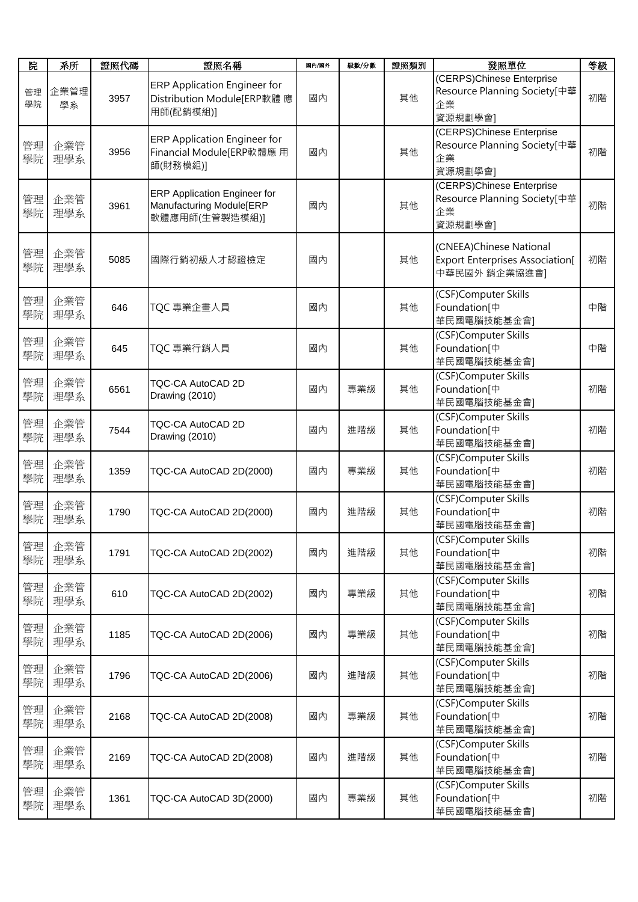| 院        | 系所         | 證照代碼 | 證照名稱                                                                              | 國內/國外 | 級數/分數 | 證照類別 | 發照單位                                                                                | 等級 |
|----------|------------|------|-----------------------------------------------------------------------------------|-------|-------|------|-------------------------------------------------------------------------------------|----|
| 管理<br>學院 | 企業管理<br>學系 | 3957 | ERP Application Engineer for<br>Distribution Module[ERP軟體 應<br>用師(配銷模組)]          | 國內    |       | 其他   | (CERPS)Chinese Enterprise<br>Resource Planning Society[中華<br>企業<br>資源規劃學會]          | 初階 |
| 管理<br>學院 | 企業管<br>理學系 | 3956 | ERP Application Engineer for<br>Financial Module[ERP軟體應用<br>師(財務模組)]              | 國內    |       | 其他   | (CERPS)Chinese Enterprise<br>Resource Planning Society[中華<br>企業<br>資源規劃學會]          | 初階 |
| 管理<br>學院 | 企業管<br>理學系 | 3961 | <b>ERP Application Engineer for</b><br>Manufacturing Module[ERP<br>軟體應用師(生管製造模組)] | 國內    |       | 其他   | (CERPS)Chinese Enterprise<br>Resource Planning Society[中華<br>企業<br>資源規劃學會]          | 初階 |
| 管理<br>學院 | 企業管<br>理學系 | 5085 | 國際行銷初級人才認證檢定                                                                      | 國內    |       | 其他   | (CNEEA)Chinese National<br><b>Export Enterprises Association</b> [<br>中華民國外 銷企業協進會] | 初階 |
| 管理<br>學院 | 企業管<br>理學系 | 646  | TQC 專業企畫人員                                                                        | 國內    |       | 其他   | (CSF)Computer Skills<br>Foundation[中<br>華民國電腦技能基金會]                                 | 中階 |
| 管理<br>學院 | 企業管<br>理學系 | 645  | TQC 專業行銷人員                                                                        | 國內    |       | 其他   | (CSF)Computer Skills<br>Foundation[中<br>華民國電腦技能基金會]                                 | 中階 |
| 管理<br>學院 | 企業管<br>理學系 | 6561 | TQC-CA AutoCAD 2D<br>Drawing (2010)                                               | 國內    | 專業級   | 其他   | (CSF)Computer Skills<br>Foundation[中<br>華民國電腦技能基金會]                                 | 初階 |
| 管理<br>學院 | 企業管<br>理學系 | 7544 | TQC-CA AutoCAD 2D<br>Drawing (2010)                                               | 國內    | 進階級   | 其他   | (CSF)Computer Skills<br>Foundation[中<br>華民國電腦技能基金會]                                 | 初階 |
| 管理<br>學院 | 企業管<br>理學系 | 1359 | TQC-CA AutoCAD 2D(2000)                                                           | 國內    | 專業級   | 其他   | (CSF)Computer Skills<br>Foundation[中<br>華民國電腦技能基金會]                                 | 初階 |
| 管理<br>學院 | 企業管<br>理學系 | 1790 | TQC-CA AutoCAD 2D(2000)                                                           | 國內    | 進階級   | 其他   | (CSF)Computer Skills<br>Foundation[中<br>華民國電腦技能基金會]                                 | 初階 |
| 管理<br>學院 | 企業管<br>理學系 | 1791 | TQC-CA AutoCAD 2D(2002)                                                           | 國內    | 進階級   | 其他   | (CSF)Computer Skills<br>Foundation[中<br>華民國電腦技能基金會]                                 | 初階 |
| 管理<br>學院 | 企業管<br>理學系 | 610  | TQC-CA AutoCAD 2D(2002)                                                           | 國內    | 專業級   | 其他   | (CSF)Computer Skills<br>Foundation[中<br>華民國電腦技能基金會]                                 | 初階 |
| 管理<br>學院 | 企業管<br>理學系 | 1185 | TQC-CA AutoCAD 2D(2006)                                                           | 國內    | 專業級   | 其他   | (CSF)Computer Skills<br>Foundation[中<br>華民國電腦技能基金會]                                 | 初階 |
| 管理<br>學院 | 企業管<br>理學系 | 1796 | TQC-CA AutoCAD 2D(2006)                                                           | 國內    | 進階級   | 其他   | (CSF)Computer Skills<br>Foundation[中<br>華民國電腦技能基金會]                                 | 初階 |
| 管理<br>學院 | 企業管<br>理學系 | 2168 | TQC-CA AutoCAD 2D(2008)                                                           | 國內    | 專業級   | 其他   | (CSF)Computer Skills<br>Foundation[中<br>華民國電腦技能基金會]                                 | 初階 |
| 管理<br>學院 | 企業管<br>理學系 | 2169 | TQC-CA AutoCAD 2D(2008)                                                           | 國內    | 進階級   | 其他   | (CSF)Computer Skills<br>Foundation[中<br>華民國電腦技能基金會]                                 | 初階 |
| 管理<br>學院 | 企業管<br>理學系 | 1361 | TQC-CA AutoCAD 3D(2000)                                                           | 國內    | 專業級   | 其他   | (CSF)Computer Skills<br>Foundation[中<br>華民國電腦技能基金會]                                 | 初階 |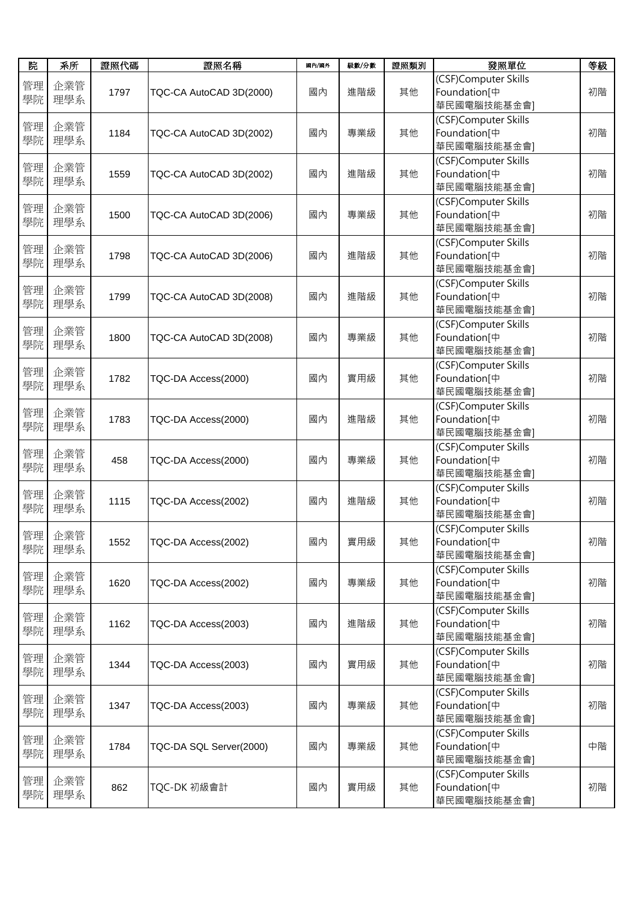| 院        | 系所         | 證照代碼 | 證照名稱                    | 國內/國外 | 級數/分數 | 證照類別 | 發照單位                                                            | 等級 |
|----------|------------|------|-------------------------|-------|-------|------|-----------------------------------------------------------------|----|
| 管理<br>學院 | 企業管<br>理學系 | 1797 | TQC-CA AutoCAD 3D(2000) | 國內    | 進階級   | 其他   | (CSF)Computer Skills<br>Foundation <sup>[中</sup><br>華民國電腦技能基金會] | 初階 |
| 管理<br>學院 | 企業管<br>理學系 | 1184 | TQC-CA AutoCAD 3D(2002) | 國內    | 專業級   | 其他   | (CSF)Computer Skills<br>Foundation[中<br>華民國電腦技能基金會]             | 初階 |
| 管理<br>學院 | 企業管<br>理學系 | 1559 | TQC-CA AutoCAD 3D(2002) | 國內    | 進階級   | 其他   | (CSF)Computer Skills<br>Foundation[中<br>華民國電腦技能基金會]             | 初階 |
| 管理<br>學院 | 企業管<br>理學系 | 1500 | TQC-CA AutoCAD 3D(2006) | 國內    | 專業級   | 其他   | (CSF)Computer Skills<br>Foundation[中<br>華民國電腦技能基金會]             | 初階 |
| 管理<br>學院 | 企業管<br>理學系 | 1798 | TQC-CA AutoCAD 3D(2006) | 國內    | 進階級   | 其他   | (CSF)Computer Skills<br>Foundation[中<br>華民國電腦技能基金會]             | 初階 |
| 管理<br>學院 | 企業管<br>理學系 | 1799 | TQC-CA AutoCAD 3D(2008) | 國內    | 進階級   | 其他   | (CSF)Computer Skills<br>Foundation <sup>[中</sup><br>華民國電腦技能基金會] | 初階 |
| 管理<br>學院 | 企業管<br>理學系 | 1800 | TQC-CA AutoCAD 3D(2008) | 國內    | 專業級   | 其他   | (CSF)Computer Skills<br>Foundation[中<br>華民國電腦技能基金會]             | 初階 |
| 管理<br>學院 | 企業管<br>理學系 | 1782 | TQC-DA Access(2000)     | 國內    | 實用級   | 其他   | (CSF)Computer Skills<br>Foundation[中<br>華民國電腦技能基金會]             | 初階 |
| 管理<br>學院 | 企業管<br>理學系 | 1783 | TQC-DA Access(2000)     | 國內    | 進階級   | 其他   | (CSF)Computer Skills<br>Foundation[中<br>華民國電腦技能基金會]             | 初階 |
| 管理<br>學院 | 企業管<br>理學系 | 458  | TQC-DA Access(2000)     | 國內    | 專業級   | 其他   | (CSF)Computer Skills<br>Foundation[中<br>華民國電腦技能基金會]             | 初階 |
| 管理<br>學院 | 企業管<br>理學系 | 1115 | TQC-DA Access(2002)     | 國內    | 進階級   | 其他   | (CSF)Computer Skills<br>Foundation[中<br>華民國電腦技能基金會]             | 初階 |
| 管理<br>學院 | 企業管<br>理學系 | 1552 | TQC-DA Access(2002)     | 國內    | 實用級   | 其他   | (CSF)Computer Skills<br>Foundation[中<br>華民國電腦技能基金會]             | 初階 |
| 管理<br>學院 | 企業管<br>理學系 | 1620 | TQC-DA Access(2002)     | 國內    | 專業級   | 其他   | (CSF)Computer Skills<br>Foundation[中<br>華民國電腦技能基金會]             | 初階 |
| 管理<br>學院 | 企業管<br>理學系 | 1162 | TQC-DA Access(2003)     | 國內    | 進階級   | 其他   | (CSF)Computer Skills<br>Foundation[中<br>華民國電腦技能基金會]             | 初階 |
| 管理<br>學院 | 企業管<br>理學系 | 1344 | TQC-DA Access(2003)     | 國內    | 實用級   | 其他   | (CSF)Computer Skills<br>Foundation <sup>[中</sup><br>華民國電腦技能基金會] | 初階 |
| 管理<br>學院 | 企業管<br>理學系 | 1347 | TQC-DA Access(2003)     | 國內    | 專業級   | 其他   | (CSF)Computer Skills<br>Foundation[中<br>華民國電腦技能基金會]             | 初階 |
| 管理<br>學院 | 企業管<br>理學系 | 1784 | TQC-DA SQL Server(2000) | 國內    | 專業級   | 其他   | (CSF)Computer Skills<br>Foundation[中<br>華民國電腦技能基金會]             | 中階 |
| 管理<br>學院 | 企業管<br>理學系 | 862  | TQC-DK 初級會計             | 國內    | 實用級   | 其他   | (CSF)Computer Skills<br>Foundation[中<br>華民國電腦技能基金會]             | 初階 |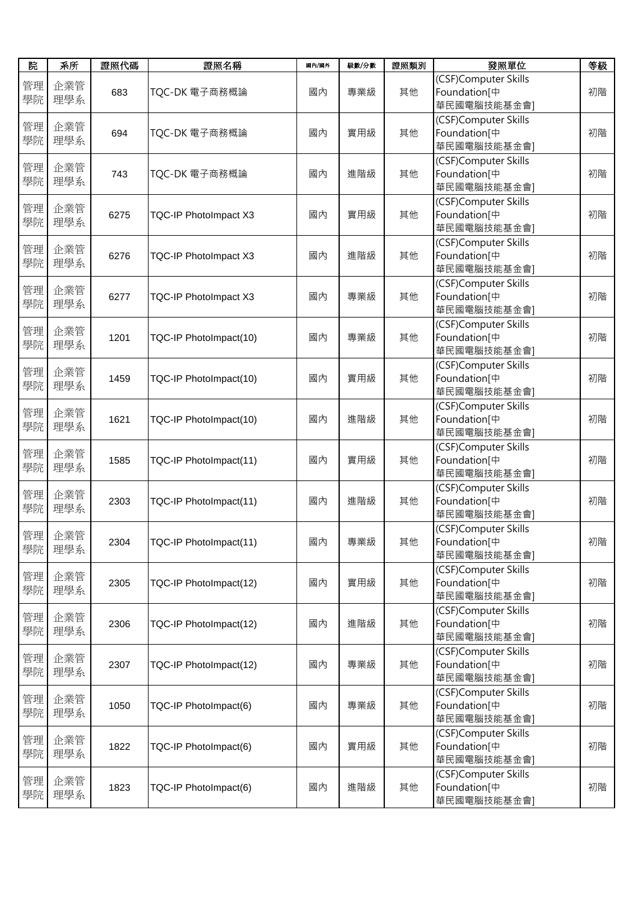| 院        | 系所         | 證照代碼 | 證照名稱                         | 國內/國外 | 級數/分數 | 證照類別 | 發照單位                                                            | 等級 |
|----------|------------|------|------------------------------|-------|-------|------|-----------------------------------------------------------------|----|
| 管理<br>學院 | 企業管<br>理學系 | 683  | TQC-DK 電子商務概論                | 國內    | 專業級   | 其他   | (CSF)Computer Skills<br>Foundation[中<br>華民國電腦技能基金會]             | 初階 |
| 管理<br>學院 | 企業管<br>理學系 | 694  | TQC-DK 電子商務概論                | 國內    | 實用級   | 其他   | (CSF)Computer Skills<br>Foundation[中<br>華民國電腦技能基金會]             | 初階 |
| 管理<br>學院 | 企業管<br>理學系 | 743  | TQC-DK 電子商務概論                | 國內    | 進階級   | 其他   | (CSF)Computer Skills<br>Foundation <sup>[中</sup><br>華民國電腦技能基金會] | 初階 |
| 管理<br>學院 | 企業管<br>理學系 | 6275 | <b>TQC-IP PhotoImpact X3</b> | 國內    | 實用級   | 其他   | (CSF)Computer Skills<br>Foundation[中<br>華民國電腦技能基金會]             | 初階 |
| 管理<br>學院 | 企業管<br>理學系 | 6276 | TQC-IP PhotoImpact X3        | 國內    | 進階級   | 其他   | (CSF)Computer Skills<br>Foundation[中<br>華民國電腦技能基金會]             | 初階 |
| 管理<br>學院 | 企業管<br>理學系 | 6277 | TQC-IP PhotoImpact X3        | 國內    | 專業級   | 其他   | (CSF)Computer Skills<br>Foundation[中<br>華民國電腦技能基金會]             | 初階 |
| 管理<br>學院 | 企業管<br>理學系 | 1201 | TQC-IP PhotoImpact(10)       | 國內    | 專業級   | 其他   | (CSF)Computer Skills<br>Foundation[中<br>華民國電腦技能基金會]             | 初階 |
| 管理<br>學院 | 企業管<br>理學系 | 1459 | TQC-IP PhotoImpact(10)       | 國內    | 實用級   | 其他   | (CSF)Computer Skills<br>Foundation[中<br>華民國電腦技能基金會]             | 初階 |
| 管理<br>學院 | 企業管<br>理學系 | 1621 | TQC-IP PhotoImpact(10)       | 國內    | 進階級   | 其他   | (CSF)Computer Skills<br>Foundation[中<br>華民國電腦技能基金會]             | 初階 |
| 管理<br>學院 | 企業管<br>理學系 | 1585 | TQC-IP PhotoImpact(11)       | 國內    | 實用級   | 其他   | (CSF)Computer Skills<br>Foundation[中<br>華民國電腦技能基金會]             | 初階 |
| 管理<br>學院 | 企業管<br>理學系 | 2303 | TQC-IP PhotoImpact(11)       | 國內    | 進階級   | 其他   | (CSF)Computer Skills<br>Foundation[中<br>華民國電腦技能基金會]             | 初階 |
| 管理<br>學院 | 企業管<br>理學系 | 2304 | TQC-IP PhotoImpact(11)       | 國內    | 專業級   | 其他   | (CSF)Computer Skills<br>Foundation[中<br>華民國電腦技能基金會]             | 初階 |
| 管理<br>學院 | 企業管<br>理學系 | 2305 | TQC-IP PhotoImpact(12)       | 國內    | 實用級   | 其他   | (CSF)Computer Skills<br>Foundation[中<br>華民國電腦技能基金會]             | 初階 |
| 管理<br>學院 | 企業管<br>理學系 | 2306 | TQC-IP PhotoImpact(12)       | 國內    | 進階級   | 其他   | (CSF)Computer Skills<br>Foundation[中<br>華民國電腦技能基金會]             | 初階 |
| 管理<br>學院 | 企業管<br>理學系 | 2307 | TQC-IP PhotoImpact(12)       | 國內    | 專業級   | 其他   | (CSF)Computer Skills<br>Foundation[中<br>華民國電腦技能基金會]             | 初階 |
| 管理<br>學院 | 企業管<br>理學系 | 1050 | TQC-IP PhotoImpact(6)        | 國內    | 專業級   | 其他   | (CSF)Computer Skills<br>Foundation[中<br>華民國電腦技能基金會]             | 初階 |
| 管理<br>學院 | 企業管<br>理學系 | 1822 | TQC-IP PhotoImpact(6)        | 國內    | 實用級   | 其他   | (CSF)Computer Skills<br>Foundation[中<br>華民國電腦技能基金會]             | 初階 |
| 管理<br>學院 | 企業管<br>理學系 | 1823 | TQC-IP PhotoImpact(6)        | 國內    | 進階級   | 其他   | (CSF)Computer Skills<br>Foundation[中<br>華民國電腦技能基金會]             | 初階 |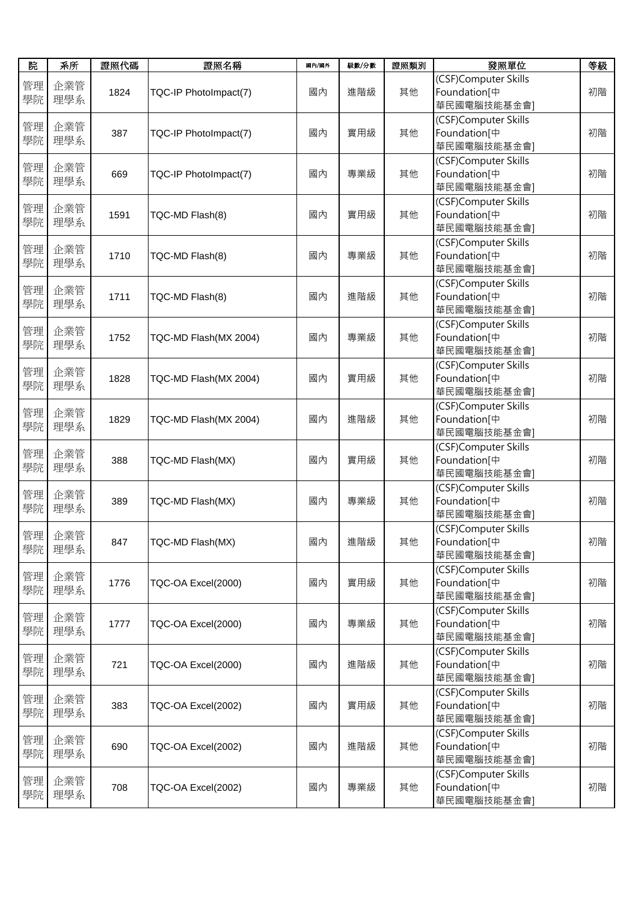| 院        | 系所         | 證照代碼 | 證照名稱                  | 國內/國外 | 級數/分數 | 證照類別 | 發照單位                                                            | 等級 |
|----------|------------|------|-----------------------|-------|-------|------|-----------------------------------------------------------------|----|
| 管理<br>學院 | 企業管<br>理學系 | 1824 | TQC-IP PhotoImpact(7) | 國內    | 進階級   | 其他   | (CSF)Computer Skills<br>Foundation[中<br>華民國電腦技能基金會]             | 初階 |
| 管理<br>學院 | 企業管<br>理學系 | 387  | TQC-IP PhotoImpact(7) | 國內    | 實用級   | 其他   | (CSF)Computer Skills<br>Foundation[中<br>華民國電腦技能基金會]             | 初階 |
| 管理<br>學院 | 企業管<br>理學系 | 669  | TQC-IP PhotoImpact(7) | 國內    | 專業級   | 其他   | (CSF)Computer Skills<br>Foundation <sup>[中</sup><br>華民國電腦技能基金會] | 初階 |
| 管理<br>學院 | 企業管<br>理學系 | 1591 | TQC-MD Flash(8)       | 國內    | 實用級   | 其他   | (CSF)Computer Skills<br>Foundation[中<br>華民國電腦技能基金會]             | 初階 |
| 管理<br>學院 | 企業管<br>理學系 | 1710 | TQC-MD Flash(8)       | 國內    | 專業級   | 其他   | (CSF)Computer Skills<br>Foundation[中<br>華民國電腦技能基金會]             | 初階 |
| 管理<br>學院 | 企業管<br>理學系 | 1711 | TQC-MD Flash(8)       | 國內    | 進階級   | 其他   | (CSF)Computer Skills<br>Foundation[中<br>華民國電腦技能基金會]             | 初階 |
| 管理<br>學院 | 企業管<br>理學系 | 1752 | TQC-MD Flash(MX 2004) | 國內    | 專業級   | 其他   | (CSF)Computer Skills<br>Foundation[中<br>華民國電腦技能基金會]             | 初階 |
| 管理<br>學院 | 企業管<br>理學系 | 1828 | TQC-MD Flash(MX 2004) | 國內    | 實用級   | 其他   | (CSF)Computer Skills<br>Foundation[中<br>華民國電腦技能基金會]             | 初階 |
| 管理<br>學院 | 企業管<br>理學系 | 1829 | TQC-MD Flash(MX 2004) | 國內    | 進階級   | 其他   | (CSF)Computer Skills<br>Foundation[中<br>華民國電腦技能基金會]             | 初階 |
| 管理<br>學院 | 企業管<br>理學系 | 388  | TQC-MD Flash(MX)      | 國內    | 實用級   | 其他   | (CSF)Computer Skills<br>Foundation[中<br>華民國電腦技能基金會]             | 初階 |
| 管理<br>學院 | 企業管<br>理學系 | 389  | TQC-MD Flash(MX)      | 國內    | 專業級   | 其他   | (CSF)Computer Skills<br>Foundation[中<br>華民國電腦技能基金會]             | 初階 |
| 管理<br>學院 | 企業管<br>理學系 | 847  | TQC-MD Flash(MX)      | 國內    | 進階級   | 其他   | (CSF)Computer Skills<br>Foundation[中<br>華民國電腦技能基金會]             | 初階 |
| 管理<br>學院 | 企業管<br>理學系 | 1776 | TQC-OA Excel(2000)    | 國內    | 實用級   | 其他   | (CSF)Computer Skills<br>Foundation[中<br>華民國電腦技能基金會]             | 初階 |
| 管理<br>學院 | 企業管<br>理學系 | 1777 | TQC-OA Excel(2000)    | 國內    | 專業級   | 其他   | (CSF)Computer Skills<br>Foundation[中<br>華民國電腦技能基金會]             | 初階 |
| 管理<br>學院 | 企業管<br>理學系 | 721  | TQC-OA Excel(2000)    | 國內    | 進階級   | 其他   | (CSF)Computer Skills<br>Foundation[中<br>華民國電腦技能基金會]             | 初階 |
| 管理<br>學院 | 企業管<br>理學系 | 383  | TQC-OA Excel(2002)    | 國內    | 實用級   | 其他   | (CSF)Computer Skills<br>Foundation[中<br>華民國電腦技能基金會]             | 初階 |
| 管理<br>學院 | 企業管<br>理學系 | 690  | TQC-OA Excel(2002)    | 國內    | 進階級   | 其他   | (CSF)Computer Skills<br>Foundation[中<br>華民國電腦技能基金會]             | 初階 |
| 管理<br>學院 | 企業管<br>理學系 | 708  | TQC-OA Excel(2002)    | 國內    | 專業級   | 其他   | (CSF)Computer Skills<br>Foundation[中<br>華民國電腦技能基金會]             | 初階 |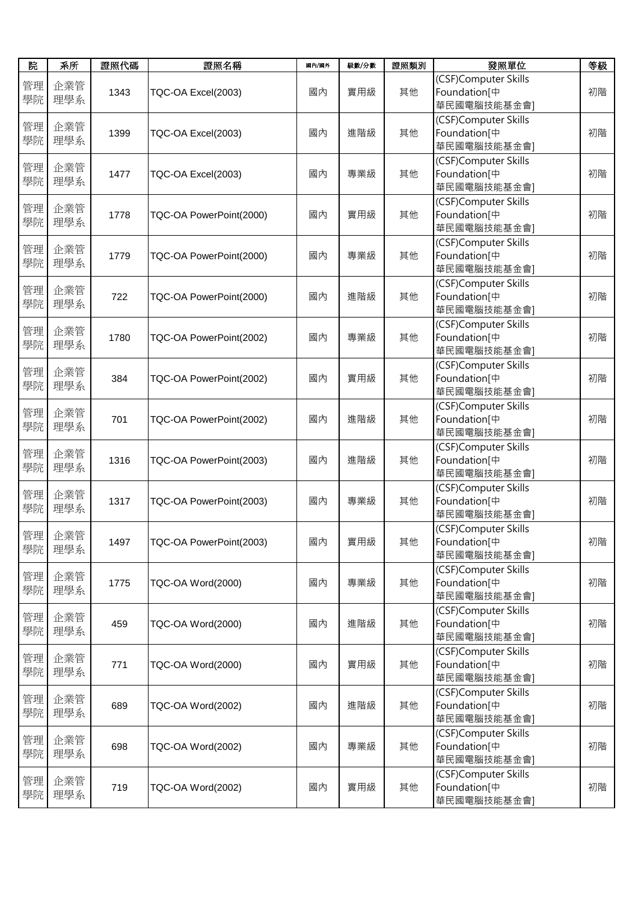| 院        | 系所         | 證照代碼 | 證照名稱                    | 國內/國外 | 級數/分數 | 證照類別 | 發照單位                                                            | 等級 |
|----------|------------|------|-------------------------|-------|-------|------|-----------------------------------------------------------------|----|
| 管理<br>學院 | 企業管<br>理學系 | 1343 | TQC-OA Excel(2003)      | 國內    | 實用級   | 其他   | (CSF)Computer Skills<br>Foundation <sup>[中</sup><br>華民國電腦技能基金會] | 初階 |
| 管理<br>學院 | 企業管<br>理學系 | 1399 | TQC-OA Excel(2003)      | 國內    | 進階級   | 其他   | (CSF)Computer Skills<br>Foundation <sup>[中</sup><br>華民國電腦技能基金會] | 初階 |
| 管理<br>學院 | 企業管<br>理學系 | 1477 | TQC-OA Excel(2003)      | 國內    | 專業級   | 其他   | (CSF)Computer Skills<br>Foundation <sup>[中</sup><br>華民國電腦技能基金會] | 初階 |
| 管理<br>學院 | 企業管<br>理學系 | 1778 | TQC-OA PowerPoint(2000) | 國內    | 實用級   | 其他   | (CSF)Computer Skills<br>Foundation[中<br>華民國電腦技能基金會]             | 初階 |
| 管理<br>學院 | 企業管<br>理學系 | 1779 | TQC-OA PowerPoint(2000) | 國內    | 專業級   | 其他   | (CSF)Computer Skills<br>Foundation[中<br>華民國電腦技能基金會]             | 初階 |
| 管理<br>學院 | 企業管<br>理學系 | 722  | TQC-OA PowerPoint(2000) | 國內    | 進階級   | 其他   | (CSF)Computer Skills<br>Foundation[中<br>華民國電腦技能基金會]             | 初階 |
| 管理<br>學院 | 企業管<br>理學系 | 1780 | TQC-OA PowerPoint(2002) | 國內    | 專業級   | 其他   | (CSF)Computer Skills<br>Foundation[中<br>華民國電腦技能基金會]             | 初階 |
| 管理<br>學院 | 企業管<br>理學系 | 384  | TQC-OA PowerPoint(2002) | 國內    | 實用級   | 其他   | (CSF)Computer Skills<br>Foundation[中<br>華民國電腦技能基金會]             | 初階 |
| 管理<br>學院 | 企業管<br>理學系 | 701  | TQC-OA PowerPoint(2002) | 國內    | 進階級   | 其他   | (CSF)Computer Skills<br>Foundation[中<br>華民國電腦技能基金會]             | 初階 |
| 管理<br>學院 | 企業管<br>理學系 | 1316 | TQC-OA PowerPoint(2003) | 國內    | 進階級   | 其他   | (CSF)Computer Skills<br>Foundation[中<br>華民國電腦技能基金會]             | 初階 |
| 管理<br>學院 | 企業管<br>理學系 | 1317 | TQC-OA PowerPoint(2003) | 國內    | 專業級   | 其他   | (CSF)Computer Skills<br>Foundation[中<br>華民國電腦技能基金會]             | 初階 |
| 管理<br>學院 | 企業管<br>理學系 | 1497 | TQC-OA PowerPoint(2003) | 國內    | 實用級   | 其他   | (CSF)Computer Skills<br>Foundation <sup>[中</sup><br>華民國電腦技能基金會] | 初階 |
| 管理<br>學院 | 企業管<br>理學系 | 1775 | TQC-OA Word(2000)       | 國內    | 專業級   | 其他   | (CSF)Computer Skills<br>Foundation[中<br>華民國電腦技能基金會]             | 初階 |
| 管理<br>學院 | 企業管<br>理學系 | 459  | TQC-OA Word(2000)       | 國內    | 進階級   | 其他   | (CSF)Computer Skills<br>Foundation[中<br>華民國電腦技能基金會]             | 初階 |
| 管理<br>學院 | 企業管<br>理學系 | 771  | TQC-OA Word(2000)       | 國內    | 實用級   | 其他   | (CSF)Computer Skills<br>Foundation[中<br>華民國電腦技能基金會]             | 初階 |
| 管理<br>學院 | 企業管<br>理學系 | 689  | TQC-OA Word(2002)       | 國內    | 進階級   | 其他   | (CSF)Computer Skills<br>Foundation[中<br>華民國電腦技能基金會]             | 初階 |
| 管理<br>學院 | 企業管<br>理學系 | 698  | TQC-OA Word(2002)       | 國內    | 專業級   | 其他   | (CSF)Computer Skills<br>Foundation[中<br>華民國電腦技能基金會]             | 初階 |
| 管理<br>學院 | 企業管<br>理學系 | 719  | TQC-OA Word(2002)       | 國內    | 實用級   | 其他   | (CSF)Computer Skills<br>Foundation[中<br>華民國電腦技能基金會]             | 初階 |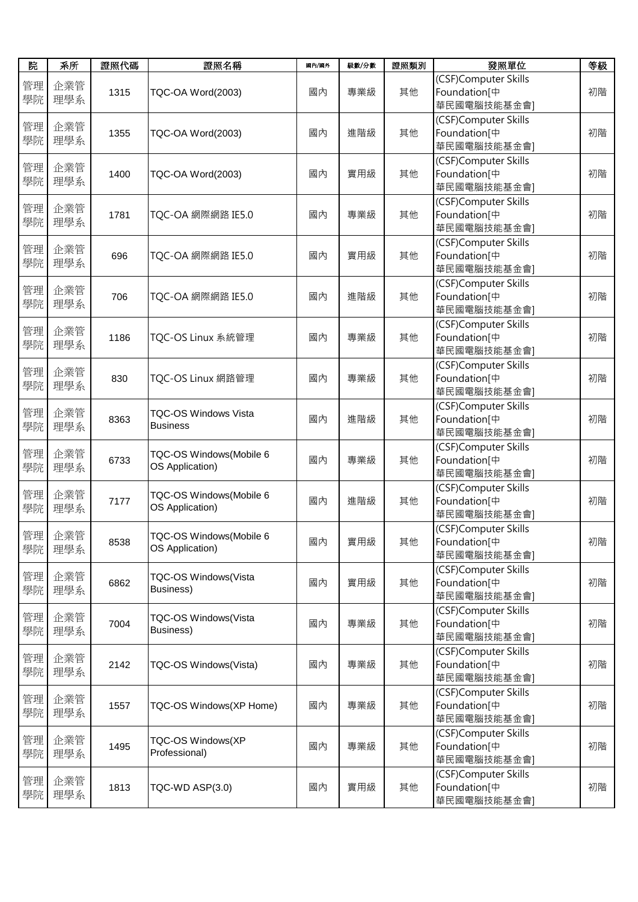| 院        | 系所         | 證照代碼 | 證照名稱                                           | 國內/國外 | 級數/分數 | 證照類別 | 發照單位                                                            | 等級 |
|----------|------------|------|------------------------------------------------|-------|-------|------|-----------------------------------------------------------------|----|
| 管理<br>學院 | 企業管<br>理學系 | 1315 | TQC-OA Word(2003)                              | 國內    | 專業級   | 其他   | (CSF)Computer Skills<br>Foundation <sup>[中</sup><br>華民國電腦技能基金會] | 初階 |
| 管理<br>學院 | 企業管<br>理學系 | 1355 | TQC-OA Word(2003)                              | 國內    | 進階級   | 其他   | (CSF)Computer Skills<br>Foundation[中<br>華民國電腦技能基金會]             | 初階 |
| 管理<br>學院 | 企業管<br>理學系 | 1400 | TQC-OA Word(2003)                              | 國內    | 實用級   | 其他   | (CSF)Computer Skills<br>Foundation[中<br>華民國電腦技能基金會]             | 初階 |
| 管理<br>學院 | 企業管<br>理學系 | 1781 | TQC-OA 網際網路 IE5.0                              | 國內    | 專業級   | 其他   | (CSF)Computer Skills<br>Foundation[中<br>華民國電腦技能基金會]             | 初階 |
| 管理<br>學院 | 企業管<br>理學系 | 696  | TQC-OA 網際網路 IE5.0                              | 國內    | 實用級   | 其他   | (CSF)Computer Skills<br>Foundation[中<br>華民國電腦技能基金會]             | 初階 |
| 管理<br>學院 | 企業管<br>理學系 | 706  | TQC-OA 網際網路 IE5.0                              | 國內    | 進階級   | 其他   | (CSF)Computer Skills<br>Foundation[中<br>華民國電腦技能基金會]             | 初階 |
| 管理<br>學院 | 企業管<br>理學系 | 1186 | TQC-OS Linux 系統管理                              | 國內    | 專業級   | 其他   | (CSF)Computer Skills<br>Foundation[中<br>華民國電腦技能基金會]             | 初階 |
| 管理<br>學院 | 企業管<br>理學系 | 830  | TQC-OS Linux 網路管理                              | 國內    | 專業級   | 其他   | (CSF)Computer Skills<br>Foundation[中<br>華民國電腦技能基金會]             | 初階 |
| 管理<br>學院 | 企業管<br>理學系 | 8363 | <b>TQC-OS Windows Vista</b><br><b>Business</b> | 國內    | 進階級   | 其他   | (CSF)Computer Skills<br>Foundation[中<br>華民國電腦技能基金會]             | 初階 |
| 管理<br>學院 | 企業管<br>理學系 | 6733 | TQC-OS Windows(Mobile 6<br>OS Application)     | 國內    | 專業級   | 其他   | (CSF)Computer Skills<br>Foundation[中<br>華民國電腦技能基金會]             | 初階 |
| 管理<br>學院 | 企業管<br>理學系 | 7177 | TQC-OS Windows(Mobile 6<br>OS Application)     | 國內    | 進階級   | 其他   | (CSF)Computer Skills<br>Foundation[中<br>華民國電腦技能基金會]             | 初階 |
| 管理<br>學院 | 企業管<br>理學系 | 8538 | TQC-OS Windows(Mobile 6<br>OS Application)     | 國內    | 實用級   | 其他   | (CSF)Computer Skills<br>Foundation[中<br>華民國電腦技能基金會]             | 初階 |
| 管理<br>學院 | 企業管<br>理學系 | 6862 | TQC-OS Windows(Vista<br>Business)              | 國內    | 實用級   | 其他   | (CSF)Computer Skills<br>Foundation[中<br>華民國電腦技能基金會]             | 初階 |
| 管理<br>學院 | 企業管<br>理學系 | 7004 | TQC-OS Windows(Vista<br>Business)              | 國內    | 專業級   | 其他   | (CSF)Computer Skills<br>Foundation[中<br>華民國電腦技能基金會]             | 初階 |
| 管理<br>學院 | 企業管<br>理學系 | 2142 | TQC-OS Windows(Vista)                          | 國內    | 專業級   | 其他   | (CSF)Computer Skills<br>Foundation[中<br>華民國電腦技能基金會]             | 初階 |
| 管理<br>學院 | 企業管<br>理學系 | 1557 | TQC-OS Windows(XP Home)                        | 國內    | 專業級   | 其他   | (CSF)Computer Skills<br>Foundation[中<br>華民國電腦技能基金會]             | 初階 |
| 管理<br>學院 | 企業管<br>理學系 | 1495 | TQC-OS Windows(XP<br>Professional)             | 國內    | 專業級   | 其他   | (CSF)Computer Skills<br>Foundation[中<br>華民國電腦技能基金會]             | 初階 |
| 管理<br>學院 | 企業管<br>理學系 | 1813 | TQC-WD ASP(3.0)                                | 國內    | 實用級   | 其他   | (CSF)Computer Skills<br>Foundation[中<br>華民國電腦技能基金會]             | 初階 |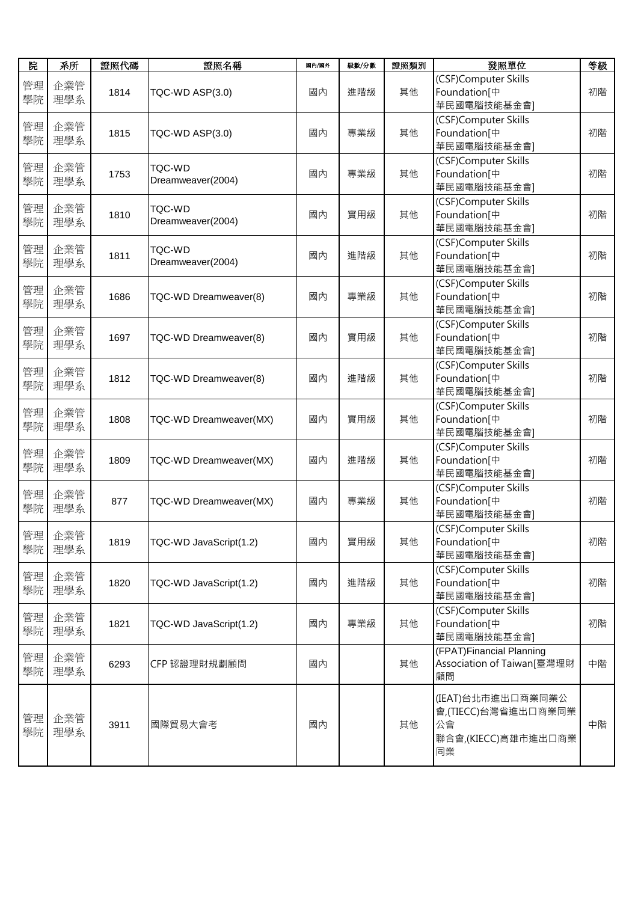| 院        | 系所            | 證照代碼 | 證照名稱                               | 國內/國外 | 級數/分數 | 證照類別 | 發照單位                                                                        | 等級 |
|----------|---------------|------|------------------------------------|-------|-------|------|-----------------------------------------------------------------------------|----|
| 管理<br>學院 | 企業管<br>理學系    | 1814 | TQC-WD ASP(3.0)                    | 國內    | 進階級   | 其他   | (CSF)Computer Skills<br>Foundation[中<br>華民國電腦技能基金會]                         | 初階 |
| 管理<br>學院 | 企業管<br>理學系    | 1815 | TQC-WD ASP(3.0)                    | 國內    | 專業級   | 其他   | (CSF)Computer Skills<br>Foundation[中<br>華民國電腦技能基金會]                         | 初階 |
| 管理<br>學院 | 企業管<br>理學系    | 1753 | <b>TQC-WD</b><br>Dreamweaver(2004) | 國內    | 專業級   | 其他   | (CSF)Computer Skills<br>Foundation[中<br>華民國電腦技能基金會]                         | 初階 |
| 管理<br>學院 | 企業管<br>理學系    | 1810 | TQC-WD<br>Dreamweaver(2004)        | 國內    | 實用級   | 其他   | (CSF)Computer Skills<br>Foundation[中<br>華民國電腦技能基金會]                         | 初階 |
| 管理<br>學院 | 企業管<br>理學系    | 1811 | TQC-WD<br>Dreamweaver(2004)        | 國內    | 進階級   | 其他   | (CSF)Computer Skills<br>Foundation[中<br>華民國電腦技能基金會]                         | 初階 |
| 管理<br>學院 | 企業管<br>理學系    | 1686 | TQC-WD Dreamweaver(8)              | 國內    | 專業級   | 其他   | (CSF)Computer Skills<br>Foundation[中<br>華民國電腦技能基金會]                         | 初階 |
| 管理<br>學院 | 企業管<br>理學系    | 1697 | TQC-WD Dreamweaver(8)              | 國內    | 實用級   | 其他   | (CSF)Computer Skills<br>Foundation[中<br>華民國電腦技能基金會]                         | 初階 |
| 管理<br>學院 | 企業管<br>理學系    | 1812 | TQC-WD Dreamweaver(8)              | 國內    | 進階級   | 其他   | (CSF)Computer Skills<br>Foundation[中<br>華民國電腦技能基金會]                         | 初階 |
| 管理<br>學院 | 企業管<br>理學系    | 1808 | TQC-WD Dreamweaver(MX)             | 國內    | 實用級   | 其他   | (CSF)Computer Skills<br>Foundation[中<br>華民國電腦技能基金會]                         | 初階 |
| 管理<br>學院 | 企業管<br>理學系    | 1809 | TQC-WD Dreamweaver(MX)             | 國內    | 進階級   | 其他   | (CSF)Computer Skills<br>Foundation[中<br>華民國電腦技能基金會]                         | 初階 |
| 管理<br>學院 | 企業管<br>理學系    | 877  | TQC-WD Dreamweaver(MX)             | 國內    | 專業級   | 其他   | (CSF)Computer Skills<br>Foundation[中<br>華民國電腦技能基金會]                         | 初階 |
| 學院       | 管理 企業管<br>理學系 | 1819 | TQC-WD JavaScript(1.2)             | 國內    | 實用級   | 其他   | (CSF)Computer Skills<br>Foundation[中<br>華民國電腦技能基金會]                         | 初階 |
| 管理<br>學院 | 企業管<br>理學系    | 1820 | TQC-WD JavaScript(1.2)             | 國內    | 進階級   | 其他   | (CSF)Computer Skills<br>Foundation[中<br>華民國電腦技能基金會]                         | 初階 |
| 管理<br>學院 | 企業管<br>理學系    | 1821 | TQC-WD JavaScript(1.2)             | 國內    | 專業級   | 其他   | (CSF)Computer Skills<br>Foundation[中<br>華民國電腦技能基金會]                         | 初階 |
| 管理<br>學院 | 企業管<br>理學系    | 6293 | CFP認證理財規劃顧問                        | 國內    |       | 其他   | (FPAT)Financial Planning<br>Association of Taiwan[臺灣理財<br>顧問                | 中階 |
| 管理<br>學院 | 企業管<br>理學系    | 3911 | 國際貿易大會考                            | 國內    |       | 其他   | (IEAT)台北市進出口商業同業公<br>會,(TIECC)台灣省進出口商業同業<br>公會<br>聯合會,(KIECC)高雄市進出口商業<br>同業 | 中階 |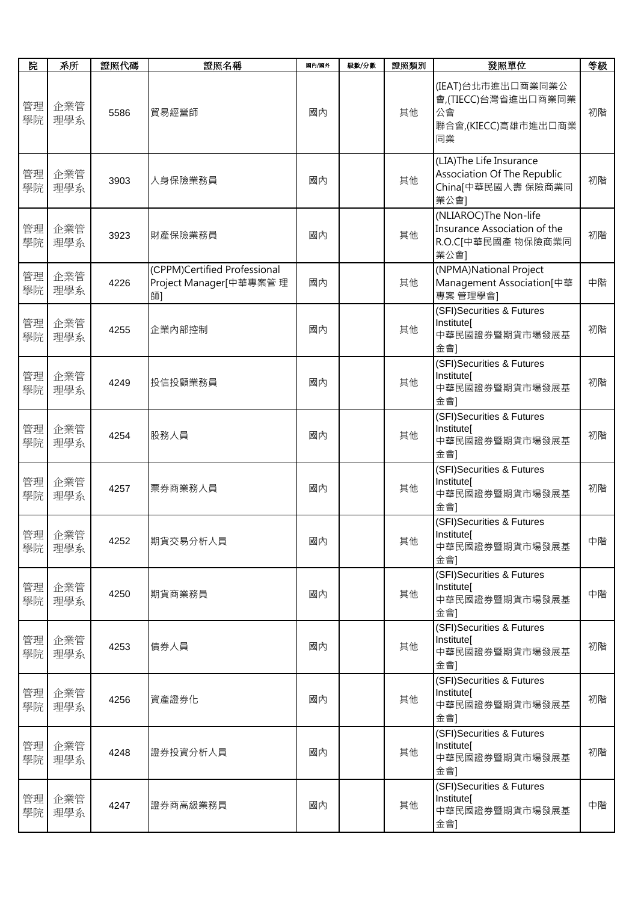| 院        | 系所            | 證照代碼 | 證照名稱                                                         | 國內/國外 | 級數/分數 | 證照類別 | 發照單位                                                                                | 等級 |
|----------|---------------|------|--------------------------------------------------------------|-------|-------|------|-------------------------------------------------------------------------------------|----|
| 管理<br>學院 | 企業管<br>理學系    | 5586 | 貿易經營師                                                        | 國內    |       | 其他   | (IEAT)台北市進出口商業同業公<br>會,(TIECC)台灣省進出口商業同業<br>公會<br>聯合會,(KIECC)高雄市進出口商業<br>同業         | 初階 |
| 管理<br>學院 | 企業管<br>理學系    | 3903 | 人身保險業務員                                                      | 國內    |       | 其他   | (LIA)The Life Insurance<br>Association Of The Republic<br>China[中華民國人壽保險商業同<br>業公會] | 初階 |
| 管理<br>學院 | 企業管<br>理學系    | 3923 | 財產保險業務員                                                      | 國內    |       | 其他   | (NLIAROC)The Non-life<br>Insurance Association of the<br>R.O.C[中華民國產 物保險商業同<br>業公會] | 初階 |
| 管理<br>學院 | 企業管<br>理學系    | 4226 | (CPPM)Certified Professional<br>Project Manager[中華專案管理<br>師1 | 國內    |       | 其他   | (NPMA)National Project<br>Management Association[中華<br>專案 管理學會]                     | 中階 |
| 管理<br>學院 | 企業管<br>理學系    | 4255 | 企業内部控制                                                       | 國內    |       | 其他   | (SFI)Securities & Futures<br>Institute[<br>中華民國證券暨期貨市場發展基<br>金會]                    | 初階 |
| 管理<br>學院 | 企業管<br>理學系    | 4249 | 投信投顧業務員                                                      | 國內    |       | 其他   | (SFI)Securities & Futures<br>Institute[<br>中華民國證券暨期貨市場發展基<br>金會]                    | 初階 |
| 管理<br>學院 | 企業管<br>理學系    | 4254 | 股務人員                                                         | 國內    |       | 其他   | (SFI)Securities & Futures<br>Institute[<br>中華民國證券暨期貨市場發展基<br>金會]                    | 初階 |
| 管理<br>學院 | 企業管<br>理學系    | 4257 | 票券商業務人員                                                      | 國內    |       | 其他   | (SFI)Securities & Futures<br>Institute[<br>中華民國證券暨期貨市場發展基<br>金會]                    | 初階 |
| 學院       | 管理 企業管<br>理學系 | 4252 | 期貨交易分析人員                                                     | 國內    |       | 其他   | (SFI)Securities & Futures<br>Institute[<br>中華民國證券暨期貨市場發展基<br>金會]                    | 中階 |
| 管理<br>學院 | 企業管<br>理學系    | 4250 | 期貨商業務員                                                       | 國內    |       | 其他   | (SFI)Securities & Futures<br>Institute[<br>中華民國證券暨期貨市場發展基<br>金會]                    | 中階 |
| 管理<br>學院 | 企業管<br>理學系    | 4253 | 債券人員                                                         | 國內    |       | 其他   | (SFI)Securities & Futures<br>Institute[<br>中華民國證券暨期貨市場發展基<br>金會]                    | 初階 |
| 管理<br>學院 | 企業管<br>理學系    | 4256 | 資產證券化                                                        | 國內    |       | 其他   | (SFI)Securities & Futures<br>Institute[<br>中華民國證券暨期貨市場發展基<br>金會]                    | 初階 |
| 管理<br>學院 | 企業管<br>理學系    | 4248 | 證券投資分析人員                                                     | 國內    |       | 其他   | (SFI)Securities & Futures<br>Institute[<br>中華民國證券暨期貨市場發展基<br>金會]                    | 初階 |
| 管理<br>學院 | 企業管<br>理學系    | 4247 | 證券商高級業務員                                                     | 國內    |       | 其他   | (SFI)Securities & Futures<br>Institute[<br>中華民國證券暨期貨市場發展基<br>金會]                    | 中階 |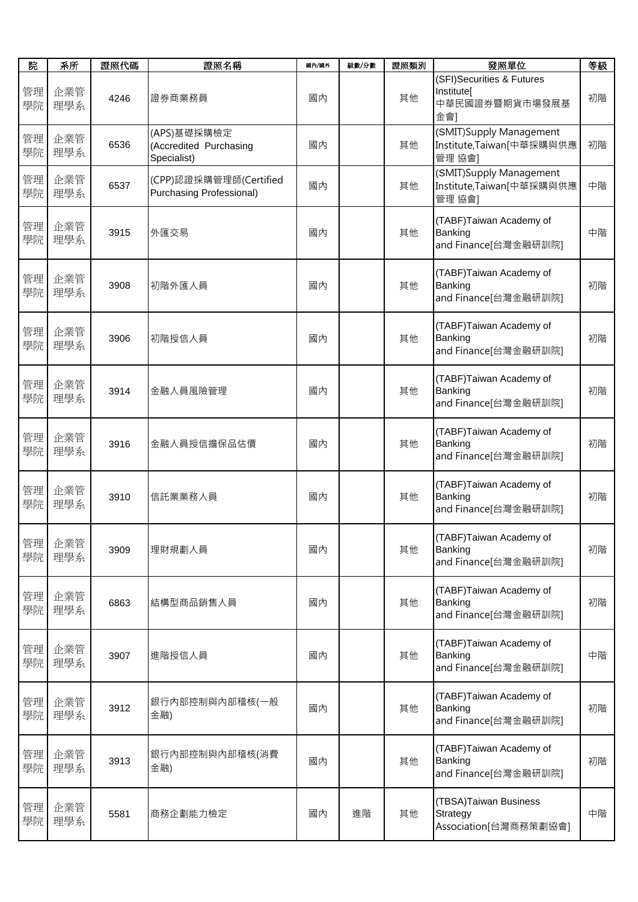| 院        | 系所         | 證照代碼 | 證照名稱                                                 | 國內/國外 | 級數/分數 | 證照類別 | 發照單位                                                             | 等級 |
|----------|------------|------|------------------------------------------------------|-------|-------|------|------------------------------------------------------------------|----|
| 管理<br>學院 | 企業管<br>理學系 | 4246 | 證券商業務員                                               | 國內    |       | 其他   | (SFI)Securities & Futures<br>Institutel<br>中華民國證券暨期貨市場發展基<br>金會] | 初階 |
| 管理<br>學院 | 企業管<br>理學系 | 6536 | (APS)基礎採購檢定<br>(Accredited Purchasing<br>Specialist) | 國內    |       | 其他   | (SMIT)Supply Management<br>Institute,Taiwan[中華採購與供應<br>管理 協會]    | 初階 |
| 管理<br>學院 | 企業管<br>理學系 | 6537 | (CPP)認證採購管理師(Certified<br>Purchasing Professional)   | 國內    |       | 其他   | (SMIT)Supply Management<br>Institute,Taiwan[中華採購與供應<br>管理 協會]    | 中階 |
| 管理<br>學院 | 企業管<br>理學系 | 3915 | 外匯交易                                                 | 國內    |       | 其他   | (TABF)Taiwan Academy of<br>Banking<br>and Finance[台灣金融研訓院]       | 中階 |
| 管理<br>學院 | 企業管<br>理學系 | 3908 | 初階外匯人員                                               | 國內    |       | 其他   | (TABF)Taiwan Academy of<br>Banking<br>and Finance[台灣金融研訓院]       | 初階 |
| 管理<br>學院 | 企業管<br>理學系 | 3906 | 初階授信人員                                               | 國內    |       | 其他   | (TABF)Taiwan Academy of<br>Banking<br>and Finance[台灣金融研訓院]       | 初階 |
| 管理<br>學院 | 企業管<br>理學系 | 3914 | 金融人員風險管理                                             | 國內    |       | 其他   | (TABF)Taiwan Academy of<br>Banking<br>and Finance[台灣金融研訓院]       | 初階 |
| 管理<br>學院 | 企業管<br>理學系 | 3916 | 金融人員授信擔保品估價                                          | 國內    |       | 其他   | (TABF)Taiwan Academy of<br>Banking<br>and Finance[台灣金融研訓院]       | 初階 |
| 管理<br>學院 | 企業管<br>理學系 | 3910 | 信託業業務人員                                              | 國內    |       | 其他   | (TABF)Taiwan Academy of<br>Banking<br>and Finance[台灣金融研訓院]       | 初階 |
| 管理<br>學院 | 企業管<br>理學系 | 3909 | 理財規劃人員                                               | 國內    |       | 其他   | (TABF)Taiwan Academy of<br>Banking<br>and Finance[台灣金融研訓院]       | 初階 |
| 管理<br>學院 | 企業管<br>理學系 | 6863 | 結構型商品銷售人員                                            | 國內    |       | 其他   | (TABF)Taiwan Academy of<br>Banking<br>and Finance[台灣金融研訓院]       | 初階 |
| 管理<br>學院 | 企業管<br>理學系 | 3907 | 進階授信人員                                               | 國內    |       | 其他   | (TABF)Taiwan Academy of<br>Banking<br>and Finance[台灣金融研訓院]       | 中階 |
| 管理<br>學院 | 企業管<br>理學系 | 3912 | 銀行內部控制與內部稽核(一般<br>金融)                                | 國內    |       | 其他   | (TABF)Taiwan Academy of<br>Banking<br>and Finance[台灣金融研訓院]       | 初階 |
| 管理<br>學院 | 企業管<br>理學系 | 3913 | 銀行內部控制與內部稽核(消費<br>金融)                                | 國內    |       | 其他   | (TABF)Taiwan Academy of<br>Banking<br>and Finance[台灣金融研訓院]       | 初階 |
| 管理<br>學院 | 企業管<br>理學系 | 5581 | 商務企劃能力檢定                                             | 國內    | 進階    | 其他   | (TBSA)Taiwan Business<br>Strategy<br>Association[台灣商務策劃協會]       | 中階 |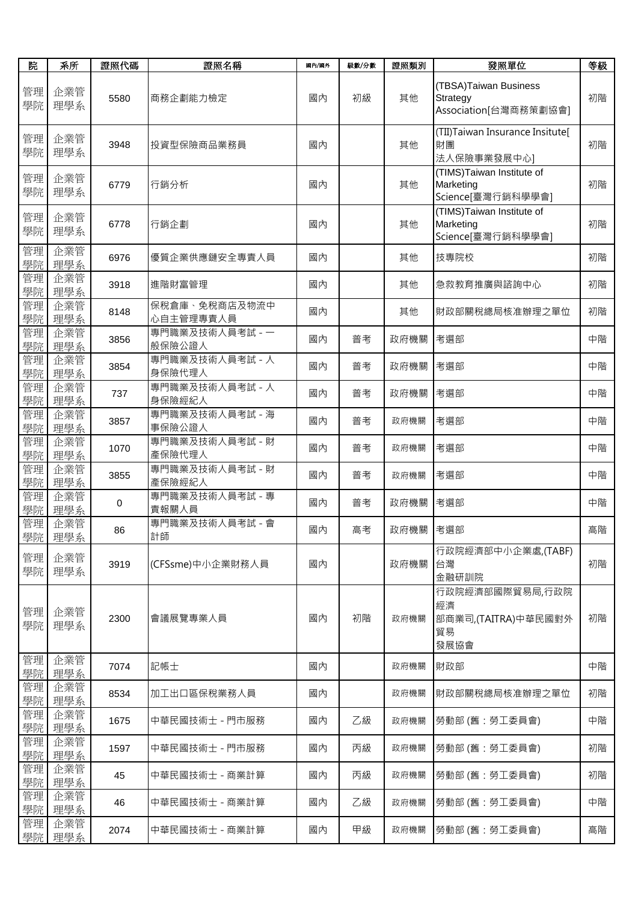| 院        | 系所            | 證照代碼 | 證照名稱                       | 國內/國外 | 級數/分數 | 證照類別 | 發照單位                                                         | 等級 |
|----------|---------------|------|----------------------------|-------|-------|------|--------------------------------------------------------------|----|
| 管理<br>學院 | 企業管<br>理學系    | 5580 | 商務企劃能力檢定                   | 國內    | 初級    | 其他   | (TBSA)Taiwan Business<br>Strategy<br>Association[台灣商務策劃協會]   | 初階 |
| 管理<br>學院 | 企業管<br>理學系    | 3948 | 投資型保險商品業務員                 | 國內    |       | 其他   | (TII) Taiwan Insurance Insitute[<br>財團<br>法人保險事業發展中心]        | 初階 |
| 管理<br>學院 | 企業管<br>理學系    | 6779 | 行銷分析                       | 國內    |       | 其他   | (TIMS)Taiwan Institute of<br>Marketing<br>Science[臺灣行銷科學學會]  | 初階 |
| 管理<br>學院 | 企業管<br>理學系    | 6778 | 行銷企劃                       | 國內    |       | 其他   | (TIMS) Taiwan Institute of<br>Marketing<br>Science[臺灣行銷科學學會] | 初階 |
| 管理<br>學院 | 企業管<br>理學系    | 6976 | 優質企業供應鏈安全專責人員              | 國內    |       | 其他   | 技專院校                                                         | 初階 |
| 管理<br>學院 | 企業管<br>理學系    | 3918 | 進階財富管理                     | 國內    |       | 其他   | 急救教育推廣與諮詢中心                                                  | 初階 |
| 管理<br>學院 | 企業管<br>理學系    | 8148 | 保稅倉庫、免稅商店及物流中<br>心自主管理專責人員 | 國內    |       | 其他   | 財政部關稅總局核准辦理之單位                                               | 初階 |
| 管理<br>學院 | 企業管<br>理學系    | 3856 | 專門職業及技術人員考試 - 一<br>般保險公證人  | 國內    | 普考    | 政府機關 | 考選部                                                          | 中階 |
| 管理<br>學院 | 企業管<br>理學系    | 3854 | 專門職業及技術人員考試 - 人<br>身保險代理人  | 國內    | 普考    | 政府機關 | 考選部                                                          | 中階 |
| 管理<br>學院 | 企業管<br>理學系    | 737  | 專門職業及技術人員考試 - 人<br>身保險經紀人  | 國內    | 普考    | 政府機關 | 考選部                                                          | 中階 |
| 管理<br>學院 | 企業管<br>理學系    | 3857 | 專門職業及技術人員考試 - 海<br>事保險公證人  | 國內    | 普考    | 政府機關 | 考選部                                                          | 中階 |
| 管理<br>學院 | 企業管<br>理學系    | 1070 | 專門職業及技術人員考試 - 財<br>產保險代理人  | 國內    | 普考    | 政府機關 | 考選部                                                          | 中階 |
| 管理<br>學院 | 企業管<br>理學系    | 3855 | 專門職業及技術人員考試 - 財<br>產保險經紀人  | 國內    | 普考    | 政府機關 | 考選部                                                          | 中階 |
| 管理<br>學院 | 企業管<br>理學系    | 0    | 專門職業及技術人員考試 - 專<br>責報關人員   | 國內    | 普考    | 政府機關 | 考選部                                                          | 中階 |
| 管理       | 企業管<br>學院 理學系 | 86   | 專門職業及技術人員考試 - 會<br>計師      | 國內    | 高考    | 政府機關 | 考選部                                                          | 高階 |
| 管理<br>學院 | 企業管<br>理學系    | 3919 | (CFSsme)中小企業財務人員           | 國內    |       | 政府機關 | 行政院經濟部中小企業處,(TABF)<br>台灣<br>金融研訓院                            | 初階 |
| 管理<br>學院 | 企業管<br>理學系    | 2300 | 會議展覽專業人員                   | 國內    | 初階    | 政府機關 | 行政院經濟部國際貿易局,行政院<br>經濟<br>部商業司,(TAITRA)中華民國對外<br>貿易<br>發展協會   | 初階 |
| 管理<br>學院 | 企業管<br>理學系    | 7074 | 記帳士                        | 國內    |       | 政府機關 | 財政部                                                          | 中階 |
| 管理<br>學院 | 企業管<br>理學系    | 8534 | 加工出口區保稅業務人員                | 國內    |       | 政府機關 | 財政部關稅總局核准辦理之單位                                               | 初階 |
| 管理<br>學院 | 企業管<br>理學系    | 1675 | 中華民國技術士 - 門市服務             | 國內    | 乙級    | 政府機關 | 勞動部 (舊:勞工委員會)                                                | 中階 |
| 管理<br>學院 | 企業管<br>理學系    | 1597 | 中華民國技術士 - 門市服務             | 國內    | 丙級    | 政府機關 | 勞動部 (舊:勞工委員會)                                                | 初階 |
| 管理<br>學院 | 企業管<br>理學系    | 45   | 中華民國技術士 - 商業計算             | 國內    | 丙級    | 政府機關 | 勞動部 (舊:勞工委員會)                                                | 初階 |
| 管理<br>學院 | 企業管<br>理學系    | 46   | 中華民國技術士 - 商業計算             | 國內    | 乙級    | 政府機關 | 勞動部 (舊:勞工委員會)                                                | 中階 |
| 管理<br>學院 | 企業管<br>理學系    | 2074 | 中華民國技術士 - 商業計算             | 國內    | 甲級    | 政府機關 | 勞動部 (舊:勞工委員會)                                                | 高階 |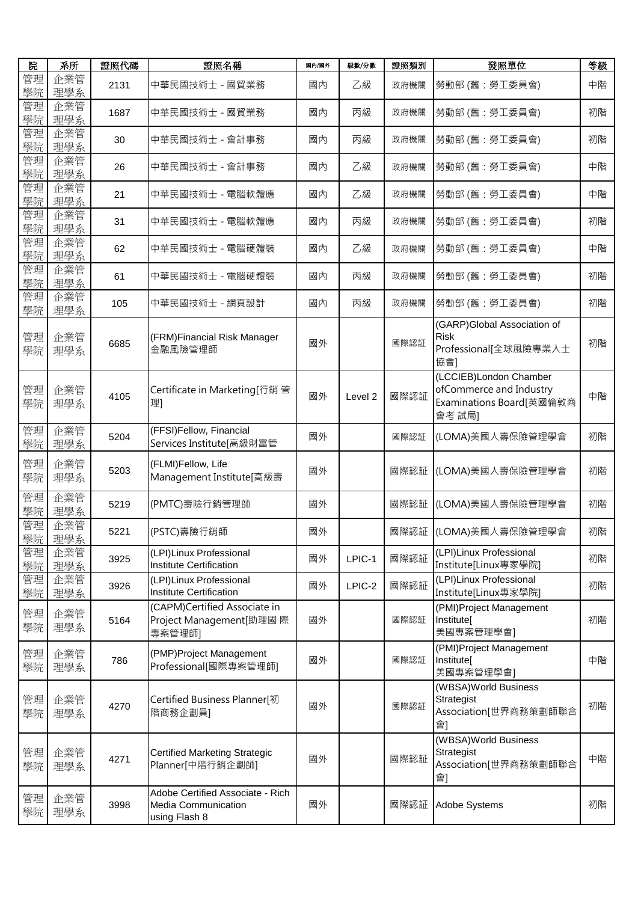| 院        | 系所         | 證照代碼 | 證照名稱                                                                            | 國內/國外 | 級數/分數              | 證照類別 | 發照單位                                                                                    | 等級 |
|----------|------------|------|---------------------------------------------------------------------------------|-------|--------------------|------|-----------------------------------------------------------------------------------------|----|
| 管理<br>學院 | 企業管<br>理學系 | 2131 | 中華民國技術士 - 國貿業務                                                                  | 國內    | 乙級                 | 政府機關 | 勞動部 (舊:勞工委員會)                                                                           | 中階 |
| 管理<br>學院 | 企業管<br>理學系 | 1687 | 中華民國技術士 - 國貿業務                                                                  | 國內    | 丙級                 | 政府機關 | 勞動部 (舊:勞工委員會)                                                                           | 初階 |
| 管理<br>學院 | 企業管<br>理學系 | 30   | 中華民國技術士 - 會計事務                                                                  | 國內    | 丙級                 | 政府機關 | 勞動部 (舊:勞工委員會)                                                                           | 初階 |
| 管理<br>學院 | 企業管<br>理學系 | 26   | 中華民國技術士 - 會計事務                                                                  | 國內    | 乙級                 | 政府機關 | 勞動部 (舊:勞工委員會)                                                                           | 中階 |
| 管理<br>學院 | 企業管<br>理學系 | 21   | 中華民國技術士 - 電腦軟體應                                                                 | 國內    | 乙級                 | 政府機關 | 勞動部 (舊:勞工委員會)                                                                           | 中階 |
| 管理<br>學院 | 企業管<br>理學系 | 31   | 中華民國技術士 - 電腦軟體應                                                                 | 國內    | 丙級                 | 政府機關 | 勞動部 (舊:勞工委員會)                                                                           | 初階 |
| 管理<br>學院 | 企業管<br>理學系 | 62   | 中華民國技術士 - 電腦硬體裝                                                                 | 國內    | 乙級                 | 政府機關 | 勞動部 (舊:勞工委員會)                                                                           | 中階 |
| 管理<br>學院 | 企業管<br>理學系 | 61   | 中華民國技術士 - 電腦硬體裝                                                                 | 國內    | 丙級                 | 政府機關 | 勞動部 (舊:勞工委員會)                                                                           | 初階 |
| 管理<br>學院 | 企業管<br>理學系 | 105  | 中華民國技術士 - 網頁設計                                                                  | 國內    | 丙級                 | 政府機關 | 勞動部 (舊:勞工委員會)                                                                           | 初階 |
| 管理<br>學院 | 企業管<br>理學系 | 6685 | (FRM)Financial Risk Manager<br>金融風險管理師                                          | 國外    |                    | 國際認証 | (GARP)Global Association of<br><b>Risk</b><br>Professional[全球風險專業人士<br>協會]              | 初階 |
| 管理<br>學院 | 企業管<br>理學系 | 4105 | Certificate in Marketing[行銷 管<br>理]                                             | 國外    | Level <sub>2</sub> | 國際認証 | (LCCIEB)London Chamber<br>ofCommerce and Industry<br>Examinations Board[英國倫敦商<br>會考 試局] | 中階 |
| 管理<br>學院 | 企業管<br>理學系 | 5204 | (FFSI)Fellow, Financial<br>Services Institute[高級財富管                             | 國外    |                    | 國際認証 | (LOMA)美國人壽保險管理學會                                                                        | 初階 |
| 管理<br>學院 | 企業管<br>理學系 | 5203 | (FLMI)Fellow, Life<br>Management Institute[高級壽                                  | 國外    |                    | 國際認証 | (LOMA)美國人壽保險管理學會                                                                        | 初階 |
| 管理<br>學院 | 企業管<br>理學系 | 5219 | (PMTC)壽險行銷管理師                                                                   | 國外    |                    | 國際認証 | (LOMA)美國人壽保險管理學會                                                                        | 初階 |
| 管理<br>學院 | 企業管<br>理學系 | 5221 | (PSTC)壽險行銷師                                                                     | 國外    |                    |      | 國際認証  (LOMA)美國人壽保險管理學會                                                                  | 初階 |
| 管理<br>學院 | 企業管<br>理學系 | 3925 | (LPI)Linux Professional<br><b>Institute Certification</b>                       | 國外    | LPIC-1             | 國際認証 | (LPI)Linux Professional<br>Institute[Linux專家學院]                                         | 初階 |
| 管理<br>學院 | 企業管<br>理學系 | 3926 | (LPI)Linux Professional<br>Institute Certification                              | 國外    | LPIC-2             | 國際認証 | (LPI)Linux Professional<br>Institute[Linux專家學院]                                         | 初階 |
| 管理<br>學院 | 企業管<br>理學系 | 5164 | (CAPM)Certified Associate in<br>Project Management[助理國 際<br>專案管理師]              | 國外    |                    | 國際認証 | (PMI)Project Management<br>Institute[<br>美國專案管理學會]                                      | 初階 |
| 管理<br>學院 | 企業管<br>理學系 | 786  | (PMP)Project Management<br>Professional[國際專案管理師]                                | 國外    |                    | 國際認証 | (PMI)Project Management<br>Institute[<br>美國專案管理學會]                                      | 中階 |
| 管理<br>學院 | 企業管<br>理學系 | 4270 | Certified Business Planner[初<br>階商務企劃員]                                         | 國外    |                    | 國際認証 | (WBSA)World Business<br>Strategist<br>Association[世界商務策劃師聯合<br>會]                       | 初階 |
| 管理<br>學院 | 企業管<br>理學系 | 4271 | <b>Certified Marketing Strategic</b><br>Planner[中階行銷企劃師]                        | 國外    |                    | 國際認証 | (WBSA)World Business<br>Strategist<br>Association[世界商務策劃師聯合<br>會]                       | 中階 |
| 管理<br>學院 | 企業管<br>理學系 | 3998 | Adobe Certified Associate - Rich<br><b>Media Communication</b><br>using Flash 8 | 國外    |                    | 國際認証 | Adobe Systems                                                                           | 初階 |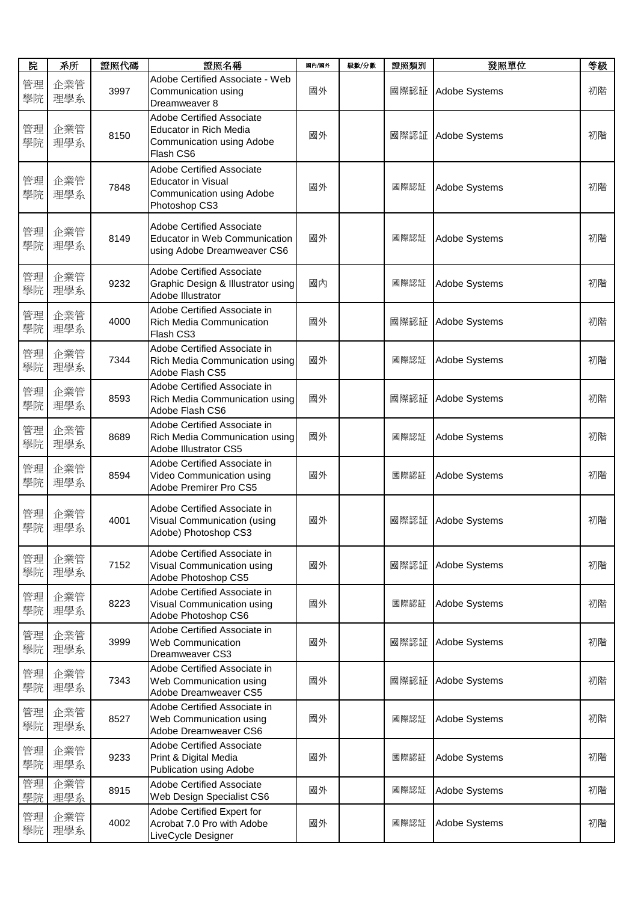| 院        | 系所         | 證照代碼 | 證照名稱                                                                                                        | 國內/國外 | 級數/分數 | 證照類別 | 發照單位          | 等級 |
|----------|------------|------|-------------------------------------------------------------------------------------------------------------|-------|-------|------|---------------|----|
| 管理<br>學院 | 企業管<br>理學系 | 3997 | Adobe Certified Associate - Web<br>Communication using<br>Dreamweaver 8                                     | 國外    |       | 國際認証 | Adobe Systems | 初階 |
| 管理<br>學院 | 企業管<br>理學系 | 8150 | <b>Adobe Certified Associate</b><br><b>Educator in Rich Media</b><br>Communication using Adobe<br>Flash CS6 | 國外    |       | 國際認証 | Adobe Systems | 初階 |
| 管理<br>學院 | 企業管<br>理學系 | 7848 | <b>Adobe Certified Associate</b><br><b>Educator in Visual</b><br>Communication using Adobe<br>Photoshop CS3 | 國外    |       | 國際認証 | Adobe Systems | 初階 |
| 管理<br>學院 | 企業管<br>理學系 | 8149 | <b>Adobe Certified Associate</b><br>Educator in Web Communication<br>using Adobe Dreamweaver CS6            | 國外    |       | 國際認証 | Adobe Systems | 初階 |
| 管理<br>學院 | 企業管<br>理學系 | 9232 | <b>Adobe Certified Associate</b><br>Graphic Design & Illustrator using<br>Adobe Illustrator                 | 國內    |       | 國際認証 | Adobe Systems | 初階 |
| 管理<br>學院 | 企業管<br>理學系 | 4000 | Adobe Certified Associate in<br><b>Rich Media Communication</b><br>Flash CS3                                | 國外    |       | 國際認証 | Adobe Systems | 初階 |
| 管理<br>學院 | 企業管<br>理學系 | 7344 | Adobe Certified Associate in<br>Rich Media Communication using<br>Adobe Flash CS5                           | 國外    |       | 國際認証 | Adobe Systems | 初階 |
| 管理<br>學院 | 企業管<br>理學系 | 8593 | Adobe Certified Associate in<br>Rich Media Communication using<br>Adobe Flash CS6                           | 國外    |       | 國際認証 | Adobe Systems | 初階 |
| 管理<br>學院 | 企業管<br>理學系 | 8689 | Adobe Certified Associate in<br>Rich Media Communication using<br>Adobe Illustrator CS5                     | 國外    |       | 國際認証 | Adobe Systems | 初階 |
| 管理<br>學院 | 企業管<br>理學系 | 8594 | Adobe Certified Associate in<br>Video Communication using<br>Adobe Premirer Pro CS5                         | 國外    |       | 國際認証 | Adobe Systems | 初階 |
| 管理<br>學院 | 企業管<br>理學系 | 4001 | Adobe Certified Associate in<br>Visual Communication (using<br>Adobe) Photoshop CS3                         | 國外    |       | 國際認証 | Adobe Systems | 初階 |
| 管理<br>學院 | 企業管<br>理學系 | 7152 | Adobe Certified Associate in<br>Visual Communication using<br>Adobe Photoshop CS5                           | 國外    |       | 國際認証 | Adobe Systems | 初階 |
| 管理<br>學院 | 企業管<br>理學系 | 8223 | Adobe Certified Associate in<br>Visual Communication using<br>Adobe Photoshop CS6                           | 國外    |       | 國際認証 | Adobe Systems | 初階 |
| 管理<br>學院 | 企業管<br>理學系 | 3999 | Adobe Certified Associate in<br>Web Communication<br>Dreamweaver CS3                                        | 國外    |       | 國際認証 | Adobe Systems | 初階 |
| 管理<br>學院 | 企業管<br>理學系 | 7343 | Adobe Certified Associate in<br>Web Communication using<br>Adobe Dreamweaver CS5                            | 國外    |       | 國際認証 | Adobe Systems | 初階 |
| 管理<br>學院 | 企業管<br>理學系 | 8527 | Adobe Certified Associate in<br>Web Communication using<br>Adobe Dreamweaver CS6                            | 國外    |       | 國際認証 | Adobe Systems | 初階 |
| 管理<br>學院 | 企業管<br>理學系 | 9233 | <b>Adobe Certified Associate</b><br>Print & Digital Media<br>Publication using Adobe                        | 國外    |       | 國際認証 | Adobe Systems | 初階 |
| 管理<br>學院 | 企業管<br>理學系 | 8915 | <b>Adobe Certified Associate</b><br>Web Design Specialist CS6                                               | 國外    |       | 國際認証 | Adobe Systems | 初階 |
| 管理<br>學院 | 企業管<br>理學系 | 4002 | Adobe Certified Expert for<br>Acrobat 7.0 Pro with Adobe<br>LiveCycle Designer                              | 國外    |       | 國際認証 | Adobe Systems | 初階 |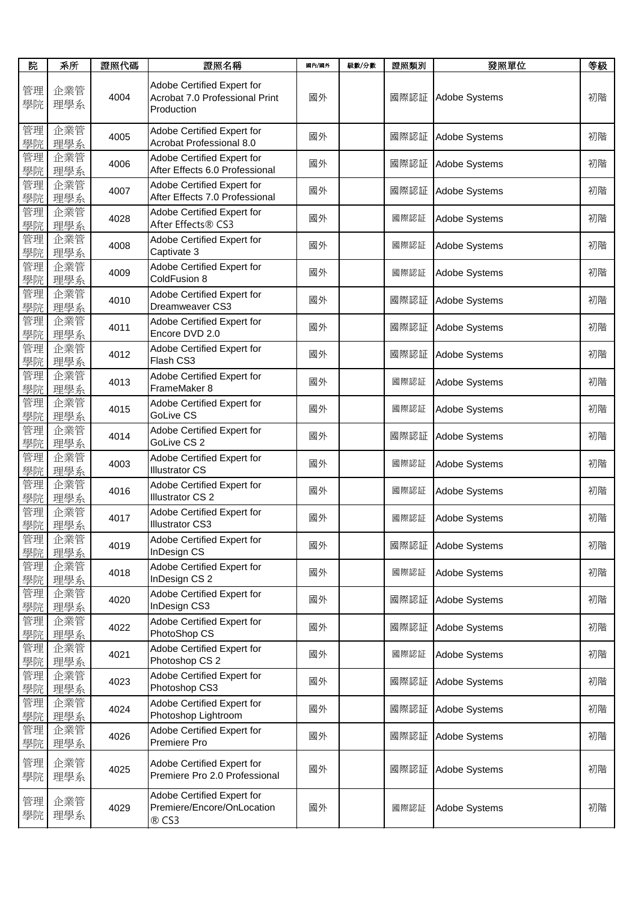| 院        | 系所         | 證照代碼 | 證照名稱                                                                       | 國內/國外 | 級數/分數 | 證照類別 | 發照單位          | 等級 |
|----------|------------|------|----------------------------------------------------------------------------|-------|-------|------|---------------|----|
| 管理<br>學院 | 企業管<br>理學系 | 4004 | Adobe Certified Expert for<br>Acrobat 7.0 Professional Print<br>Production | 國外    |       | 國際認証 | Adobe Systems | 初階 |
| 管理<br>學院 | 企業管<br>理學系 | 4005 | Adobe Certified Expert for<br>Acrobat Professional 8.0                     | 國外    |       | 國際認証 | Adobe Systems | 初階 |
| 管理<br>學院 | 企業管<br>理學系 | 4006 | Adobe Certified Expert for<br>After Effects 6.0 Professional               | 國外    |       | 國際認証 | Adobe Systems | 初階 |
| 管理<br>學院 | 企業管<br>理學系 | 4007 | Adobe Certified Expert for<br>After Effects 7.0 Professional               | 國外    |       | 國際認証 | Adobe Systems | 初階 |
| 管理<br>學院 | 企業管<br>理學系 | 4028 | Adobe Certified Expert for<br>After Effects® CS3                           | 國外    |       | 國際認証 | Adobe Systems | 初階 |
| 管理<br>學院 | 企業管<br>理學系 | 4008 | Adobe Certified Expert for<br>Captivate 3                                  | 國外    |       | 國際認証 | Adobe Systems | 初階 |
| 管理<br>學院 | 企業管<br>理學系 | 4009 | Adobe Certified Expert for<br>ColdFusion 8                                 | 國外    |       | 國際認証 | Adobe Systems | 初階 |
| 管理<br>學院 | 企業管<br>理學系 | 4010 | Adobe Certified Expert for<br>Dreamweaver CS3                              | 國外    |       | 國際認証 | Adobe Systems | 初階 |
| 管理<br>學院 | 企業管<br>理學系 | 4011 | Adobe Certified Expert for<br>Encore DVD 2.0                               | 國外    |       | 國際認証 | Adobe Systems | 初階 |
| 管理<br>學院 | 企業管<br>理學系 | 4012 | Adobe Certified Expert for<br>Flash CS3                                    | 國外    |       | 國際認証 | Adobe Systems | 初階 |
| 管理<br>學院 | 企業管<br>理學系 | 4013 | Adobe Certified Expert for<br>FrameMaker 8                                 | 國外    |       | 國際認証 | Adobe Systems | 初階 |
| 管理<br>學院 | 企業管<br>理學系 | 4015 | Adobe Certified Expert for<br>GoLive CS                                    | 國外    |       | 國際認証 | Adobe Systems | 初階 |
| 管理<br>學院 | 企業管<br>理學系 | 4014 | Adobe Certified Expert for<br>GoLive CS 2                                  | 國外    |       | 國際認証 | Adobe Systems | 初階 |
| 管理<br>學院 | 企業管<br>理學系 | 4003 | Adobe Certified Expert for<br><b>Illustrator CS</b>                        | 國外    |       | 國際認証 | Adobe Systems | 初階 |
| 管理<br>學院 | 企業管<br>理學系 | 4016 | Adobe Certified Expert for<br><b>Illustrator CS 2</b>                      | 國外    |       | 國際認証 | Adobe Systems | 初階 |
| 管理<br>學院 | 企業管<br>理學系 | 4017 | Adobe Certified Expert for<br><b>Illustrator CS3</b>                       | 國外    |       | 國際認証 | Adobe Systems | 初階 |
| 管理<br>學院 | 企業管<br>理學系 | 4019 | Adobe Certified Expert for<br>InDesign CS                                  | 國外    |       | 國際認証 | Adobe Systems | 初階 |
| 管理<br>學院 | 企業管<br>理學系 | 4018 | Adobe Certified Expert for<br>InDesign CS 2                                | 國外    |       | 國際認証 | Adobe Systems | 初階 |
| 管理<br>學院 | 企業管<br>理學系 | 4020 | Adobe Certified Expert for<br>InDesign CS3                                 | 國外    |       | 國際認証 | Adobe Systems | 初階 |
| 管理<br>學院 | 企業管<br>理學系 | 4022 | Adobe Certified Expert for<br>PhotoShop CS                                 | 國外    |       | 國際認証 | Adobe Systems | 初階 |
| 管理<br>學院 | 企業管<br>理學系 | 4021 | Adobe Certified Expert for<br>Photoshop CS 2                               | 國外    |       | 國際認証 | Adobe Systems | 初階 |
| 管理<br>學院 | 企業管<br>理學系 | 4023 | Adobe Certified Expert for<br>Photoshop CS3                                | 國外    |       | 國際認証 | Adobe Systems | 初階 |
| 管理<br>學院 | 企業管<br>理學系 | 4024 | Adobe Certified Expert for<br>Photoshop Lightroom                          | 國外    |       | 國際認証 | Adobe Systems | 初階 |
| 管理<br>學院 | 企業管<br>理學系 | 4026 | Adobe Certified Expert for<br>Premiere Pro                                 | 國外    |       | 國際認証 | Adobe Systems | 初階 |
| 管理<br>學院 | 企業管<br>理學系 | 4025 | Adobe Certified Expert for<br>Premiere Pro 2.0 Professional                | 國外    |       | 國際認証 | Adobe Systems | 初階 |
| 管理<br>學院 | 企業管<br>理學系 | 4029 | Adobe Certified Expert for<br>Premiere/Encore/OnLocation<br>® CS3          | 國外    |       | 國際認証 | Adobe Systems | 初階 |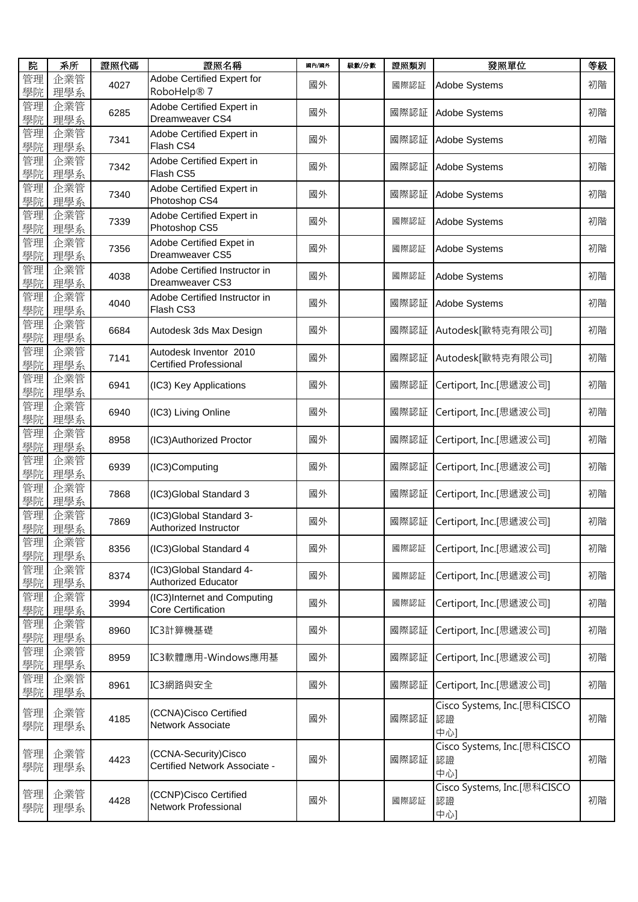| 院        | 系所         | 證照代碼 | 證照名稱                                                    | 國內/國外 | 級數/分數 | 證照類別 | 發照單位                                     | 等級 |
|----------|------------|------|---------------------------------------------------------|-------|-------|------|------------------------------------------|----|
| 管理<br>學院 | 企業管<br>理學系 | 4027 | Adobe Certified Expert for<br>RoboHelp® 7               | 國外    |       | 國際認証 | Adobe Systems                            | 初階 |
| 管理<br>學院 | 企業管<br>理學系 | 6285 | Adobe Certified Expert in<br>Dreamweaver CS4            | 國外    |       | 國際認証 | Adobe Systems                            | 初階 |
| 管理<br>學院 | 企業管<br>理學系 | 7341 | Adobe Certified Expert in<br>Flash CS4                  | 國外    |       | 國際認証 | Adobe Systems                            | 初階 |
| 管理<br>學院 | 企業管<br>理學系 | 7342 | Adobe Certified Expert in<br>Flash CS5                  | 國外    |       | 國際認証 | Adobe Systems                            | 初階 |
| 管理<br>學院 | 企業管<br>理學系 | 7340 | Adobe Certified Expert in<br>Photoshop CS4              | 國外    |       | 國際認証 | Adobe Systems                            | 初階 |
| 管理<br>學院 | 企業管<br>理學系 | 7339 | Adobe Certified Expert in<br>Photoshop CS5              | 國外    |       | 國際認証 | Adobe Systems                            | 初階 |
| 管理<br>學院 | 企業管<br>理學系 | 7356 | Adobe Certified Expet in<br>Dreamweaver CS5             | 國外    |       | 國際認証 | Adobe Systems                            | 初階 |
| 管理<br>學院 | 企業管<br>理學系 | 4038 | Adobe Certified Instructor in<br>Dreamweaver CS3        | 國外    |       | 國際認証 | Adobe Systems                            | 初階 |
| 管理<br>學院 | 企業管<br>理學系 | 4040 | Adobe Certified Instructor in<br>Flash CS3              | 國外    |       | 國際認証 | Adobe Systems                            | 初階 |
| 管理<br>學院 | 企業管<br>理學系 | 6684 | Autodesk 3ds Max Design                                 | 國外    |       | 國際認証 | Autodesk[歐特克有限公司]                        | 初階 |
| 管理<br>學院 | 企業管<br>理學系 | 7141 | Autodesk Inventor 2010<br><b>Certified Professional</b> | 國外    |       | 國際認証 | Autodesk[歐特克有限公司]                        | 初階 |
| 管理<br>學院 | 企業管<br>理學系 | 6941 | (IC3) Key Applications                                  | 國外    |       | 國際認証 | Certiport, Inc.[思遞波公司]                   | 初階 |
| 管理<br>學院 | 企業管<br>理學系 | 6940 | (IC3) Living Online                                     | 國外    |       | 國際認証 | Certiport, Inc.[思遞波公司]                   | 初階 |
| 管理<br>學院 | 企業管<br>理學系 | 8958 | (IC3) Authorized Proctor                                | 國外    |       | 國際認証 | Certiport, Inc.[思遞波公司]                   | 初階 |
| 管理<br>學院 | 企業管<br>理學系 | 6939 | (IC3)Computing                                          | 國外    |       | 國際認証 | Certiport, Inc.[思遞波公司]                   | 初階 |
| 管理<br>學院 | 企業管<br>理學系 | 7868 | (IC3)Global Standard 3                                  | 國外    |       | 國際認証 | Certiport, Inc.[思遞波公司]                   | 初階 |
| 管理<br>學院 | 企業管<br>理學系 | 7869 | (IC3)Global Standard 3-<br>Authorized Instructor        | 國外    |       | 國際認証 | Certiport, Inc.[思遞波公司]                   | 初階 |
| 管理<br>學院 | 企業管<br>理學系 | 8356 | (IC3)Global Standard 4                                  | 國外    |       | 國際認証 | Certiport, Inc.[思遞波公司]                   | 初階 |
| 管理<br>學院 | 企業管<br>理學系 | 8374 | (IC3)Global Standard 4-<br>Authorized Educator          | 國外    |       | 國際認証 | Certiport, Inc.[思遞波公司]                   | 初階 |
| 管理<br>學院 | 企業管<br>理學系 | 3994 | (IC3)Internet and Computing<br>Core Certification       | 國外    |       | 國際認証 | Certiport, Inc.[思遞波公司]                   | 初階 |
| 管理<br>學院 | 企業管<br>理學系 | 8960 | IC3計算機基礎                                                | 國外    |       | 國際認証 | Certiport, Inc.[思遞波公司]                   | 初階 |
| 管理<br>學院 | 企業管<br>理學系 | 8959 | IC3軟體應用-Windows應用基                                      | 國外    |       | 國際認証 | Certiport, Inc.[思遞波公司]                   | 初階 |
| 管理<br>學院 | 企業管<br>理學系 | 8961 | IC3網路與安全                                                | 國外    |       | 國際認証 | Certiport, Inc.[思遞波公司]                   | 初階 |
| 管理<br>學院 | 企業管<br>理學系 | 4185 | (CCNA)Cisco Certified<br>Network Associate              | 國外    |       | 國際認証 | Cisco Systems, Inc.[思科CISCO<br>認證<br>中心] | 初階 |
| 管理<br>學院 | 企業管<br>理學系 | 4423 | (CCNA-Security)Cisco<br>Certified Network Associate -   | 國外    |       | 國際認証 | Cisco Systems, Inc.[思科CISCO<br>認證<br>中心] | 初階 |
| 管理<br>學院 | 企業管<br>理學系 | 4428 | (CCNP)Cisco Certified<br>Network Professional           | 國外    |       | 國際認証 | Cisco Systems, Inc.[思科CISCO<br>認證<br>中心] | 初階 |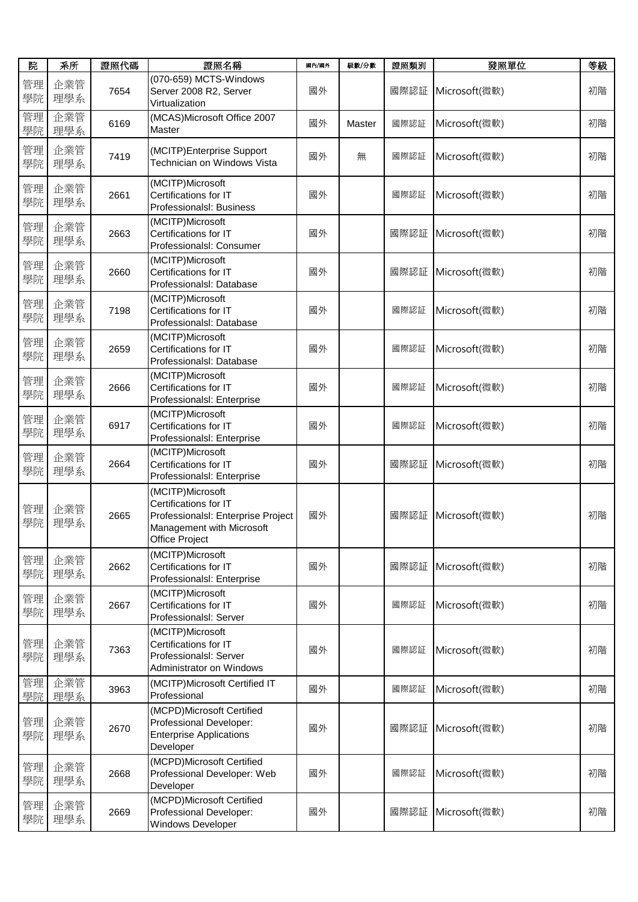| 院        | 系所         | 證照代碼 | 證照名稱                                                                                                                           | 國內/國外 | 級數/分數  | 證照類別 | 發照單位          | 等級 |
|----------|------------|------|--------------------------------------------------------------------------------------------------------------------------------|-------|--------|------|---------------|----|
| 管理<br>學院 | 企業管<br>理學系 | 7654 | (070-659) MCTS-Windows<br>Server 2008 R2, Server<br>Virtualization                                                             | 國外    |        | 國際認証 | Microsoft(微軟) | 初階 |
| 管理<br>學院 | 企業管<br>理學系 | 6169 | (MCAS)Microsoft Office 2007<br>Master                                                                                          | 國外    | Master | 國際認証 | Microsoft(微軟) | 初階 |
| 管理<br>學院 | 企業管<br>理學系 | 7419 | (MCITP)Enterprise Support<br>Technician on Windows Vista                                                                       | 國外    | 無      | 國際認証 | Microsoft(微軟) | 初階 |
| 管理<br>學院 | 企業管<br>理學系 | 2661 | (MCITP)Microsoft<br>Certifications for IT<br>Professionalsl: Business                                                          | 國外    |        | 國際認証 | Microsoft(微軟) | 初階 |
| 管理<br>學院 | 企業管<br>理學系 | 2663 | (MCITP)Microsoft<br>Certifications for IT<br>Professionalsl: Consumer                                                          | 國外    |        | 國際認証 | Microsoft(微軟) | 初階 |
| 管理<br>學院 | 企業管<br>理學系 | 2660 | (MCITP)Microsoft<br>Certifications for IT<br>Professionalsl: Database                                                          | 國外    |        | 國際認証 | Microsoft(微軟) | 初階 |
| 管理<br>學院 | 企業管<br>理學系 | 7198 | (MCITP)Microsoft<br>Certifications for IT<br>Professionalsl: Database                                                          | 國外    |        | 國際認証 | Microsoft(微軟) | 初階 |
| 管理<br>學院 | 企業管<br>理學系 | 2659 | (MCITP)Microsoft<br>Certifications for IT<br>Professionalsl: Database                                                          | 國外    |        | 國際認証 | Microsoft(微軟) | 初階 |
| 管理<br>學院 | 企業管<br>理學系 | 2666 | (MCITP)Microsoft<br>Certifications for IT<br>Professionalsl: Enterprise                                                        | 國外    |        | 國際認証 | Microsoft(微軟) | 初階 |
| 管理<br>學院 | 企業管<br>理學系 | 6917 | (MCITP)Microsoft<br>Certifications for IT<br>Professionalsl: Enterprise                                                        | 國外    |        | 國際認証 | Microsoft(微軟) | 初階 |
| 管理<br>學院 | 企業管<br>理學系 | 2664 | (MCITP)Microsoft<br>Certifications for IT<br>Professionalsl: Enterprise                                                        | 國外    |        | 國際認証 | Microsoft(微軟) | 初階 |
| 管理<br>學院 | 企業管<br>理學系 | 2665 | (MCITP)Microsoft<br>Certifications for IT<br>Professionalsl: Enterprise Project<br>Management with Microsoft<br>Office Project | 國外    |        | 國際認証 | Microsoft(微軟) | 初階 |
| 管理<br>學院 | 企業管<br>理學系 | 2662 | (MCITP)Microsoft<br>Certifications for IT<br>Professionalsl: Enterprise                                                        | 國外    |        | 國際認証 | Microsoft(微軟) | 初階 |
| 管理<br>學院 | 企業管<br>理學系 | 2667 | (MCITP)Microsoft<br>Certifications for IT<br>Professionalsl: Server                                                            | 國外    |        | 國際認証 | Microsoft(微軟) | 初階 |
| 管理<br>學院 | 企業管<br>理學系 | 7363 | (MCITP)Microsoft<br>Certifications for IT<br>Professionalsl: Server<br><b>Administrator on Windows</b>                         | 國外    |        | 國際認証 | Microsoft(微軟) | 初階 |
| 管理<br>學院 | 企業管<br>理學系 | 3963 | (MCITP)Microsoft Certified IT<br>Professional                                                                                  | 國外    |        | 國際認証 | Microsoft(微軟) | 初階 |
| 管理<br>學院 | 企業管<br>理學系 | 2670 | (MCPD)Microsoft Certified<br>Professional Developer:<br><b>Enterprise Applications</b><br>Developer                            | 國外    |        | 國際認証 | Microsoft(微軟) | 初階 |
| 管理<br>學院 | 企業管<br>理學系 | 2668 | (MCPD)Microsoft Certified<br>Professional Developer: Web<br>Developer                                                          | 國外    |        | 國際認証 | Microsoft(微軟) | 初階 |
| 管理<br>學院 | 企業管<br>理學系 | 2669 | (MCPD)Microsoft Certified<br>Professional Developer:<br>Windows Developer                                                      | 國外    |        | 國際認証 | Microsoft(微軟) | 初階 |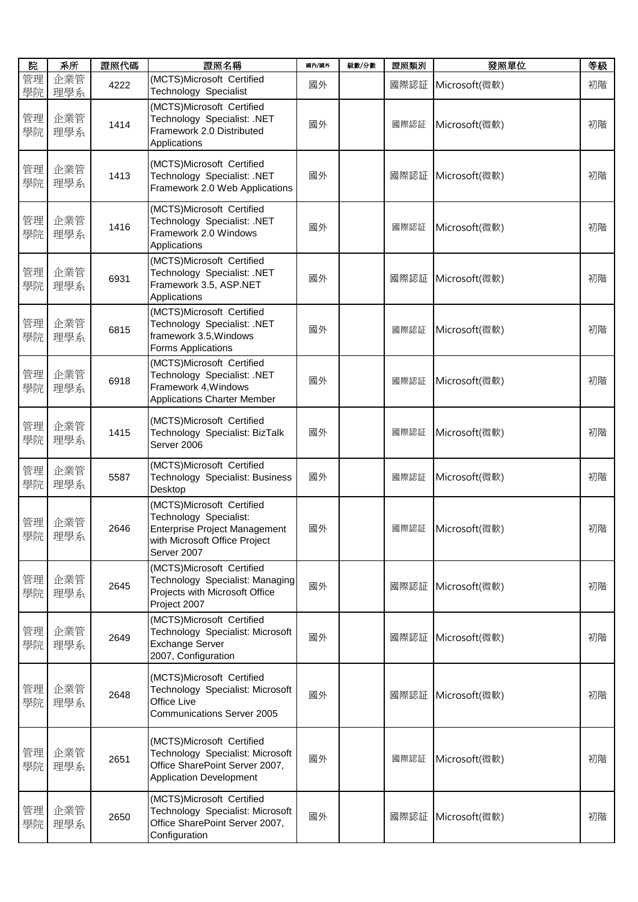| 院        | 系所         | 證照代碼 | 證照名稱                                                                                                                                        | 國內/國外 | 級數/分數 | 證照類別 | 發照單位                 | 等級 |
|----------|------------|------|---------------------------------------------------------------------------------------------------------------------------------------------|-------|-------|------|----------------------|----|
| 管理<br>學院 | 企業管<br>理學系 | 4222 | (MCTS)Microsoft Certified<br>Technology Specialist                                                                                          | 國外    |       | 國際認証 | Microsoft(微軟)        | 初階 |
| 管理<br>學院 | 企業管<br>理學系 | 1414 | (MCTS)Microsoft Certified<br>Technology Specialist: .NET<br>Framework 2.0 Distributed<br>Applications                                       | 國外    |       | 國際認証 | Microsoft(微軟)        | 初階 |
| 管理<br>學院 | 企業管<br>理學系 | 1413 | (MCTS)Microsoft Certified<br>Technology Specialist: .NET<br>Framework 2.0 Web Applications                                                  | 國外    |       | 國際認証 | Microsoft(微軟)        | 初階 |
| 管理<br>學院 | 企業管<br>理學系 | 1416 | (MCTS)Microsoft Certified<br>Technology Specialist: .NET<br>Framework 2.0 Windows<br>Applications                                           | 國外    |       | 國際認証 | Microsoft(微軟)        | 初階 |
| 管理<br>學院 | 企業管<br>理學系 | 6931 | (MCTS)Microsoft Certified<br>Technology Specialist: .NET<br>Framework 3.5, ASP.NET<br>Applications                                          | 國外    |       | 國際認証 | Microsoft(微軟)        | 初階 |
| 管理<br>學院 | 企業管<br>理學系 | 6815 | (MCTS)Microsoft Certified<br>Technology Specialist: .NET<br>framework 3.5, Windows<br>Forms Applications                                    | 國外    |       | 國際認証 | Microsoft(微軟)        | 初階 |
| 管理<br>學院 | 企業管<br>理學系 | 6918 | (MCTS)Microsoft Certified<br>Technology Specialist: .NET<br>Framework 4, Windows<br><b>Applications Charter Member</b>                      | 國外    |       | 國際認証 | Microsoft(微軟)        | 初階 |
| 管理<br>學院 | 企業管<br>理學系 | 1415 | (MCTS)Microsoft Certified<br>Technology Specialist: BizTalk<br>Server 2006                                                                  | 國外    |       | 國際認証 | Microsoft(微軟)        | 初階 |
| 管理<br>學院 | 企業管<br>理學系 | 5587 | (MCTS)Microsoft Certified<br>Technology Specialist: Business<br>Desktop                                                                     | 國外    |       | 國際認証 | Microsoft(微軟)        | 初階 |
| 管理<br>學院 | 企業管<br>理學系 | 2646 | (MCTS)Microsoft Certified<br>Technology Specialist:<br><b>Enterprise Project Management</b><br>with Microsoft Office Project<br>Server 2007 | 國外    |       | 國際認証 | Microsoft(微軟)        | 初階 |
| 管理<br>學院 | 企業管<br>理學系 | 2645 | (MCTS)Microsoft Certified<br>Technology Specialist: Managing<br>Projects with Microsoft Office<br>Project 2007                              | 國外    |       | 國際認証 | Microsoft(微軟)        | 初階 |
| 管理<br>學院 | 企業管<br>理學系 | 2649 | (MCTS)Microsoft Certified<br>Technology Specialist: Microsoft<br><b>Exchange Server</b><br>2007, Configuration                              | 國外    |       | 國際認証 | Microsoft(微軟)        | 初階 |
| 管理<br>學院 | 企業管<br>理學系 | 2648 | (MCTS)Microsoft Certified<br>Technology Specialist: Microsoft<br>Office Live<br><b>Communications Server 2005</b>                           | 國外    |       |      | 國際認証   Microsoft(微軟) | 初階 |
| 管理<br>學院 | 企業管<br>理學系 | 2651 | (MCTS)Microsoft Certified<br>Technology Specialist: Microsoft<br>Office SharePoint Server 2007,<br><b>Application Development</b>           | 國外    |       | 國際認証 | Microsoft(微軟)        | 初階 |
| 管理<br>學院 | 企業管<br>理學系 | 2650 | (MCTS)Microsoft Certified<br>Technology Specialist: Microsoft<br>Office SharePoint Server 2007,<br>Configuration                            | 國外    |       | 國際認証 | Microsoft(微軟)        | 初階 |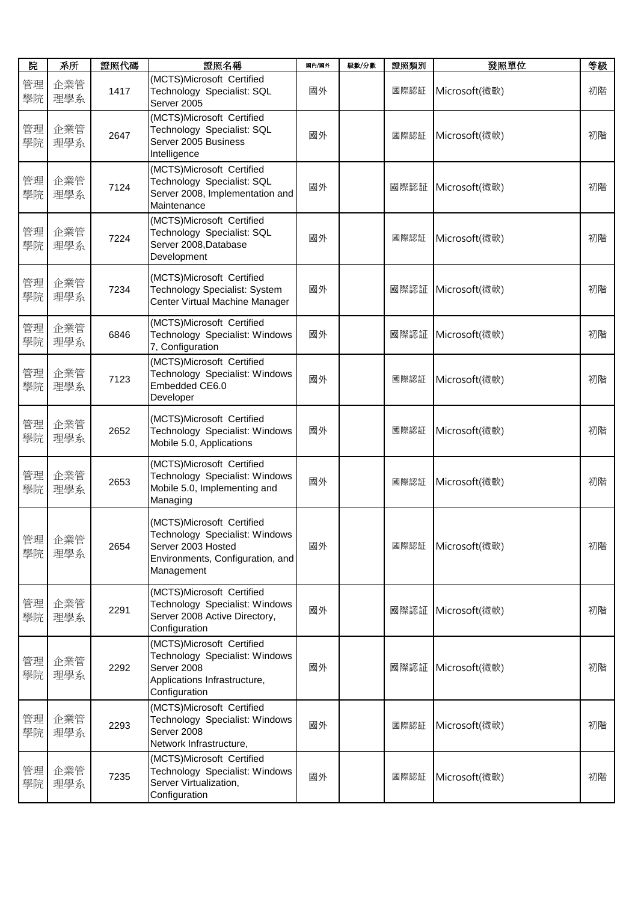| 院        | 系所         | 證照代碼 | 證照名稱                                                                                                                                | 國內/國外 | 級數/分數 | 證照類別 | 發照單位                 | 等級 |
|----------|------------|------|-------------------------------------------------------------------------------------------------------------------------------------|-------|-------|------|----------------------|----|
| 管理<br>學院 | 企業管<br>理學系 | 1417 | (MCTS)Microsoft Certified<br>Technology Specialist: SQL<br>Server 2005                                                              | 國外    |       | 國際認証 | Microsoft(微軟)        | 初階 |
| 管理<br>學院 | 企業管<br>理學系 | 2647 | (MCTS)Microsoft Certified<br>Technology Specialist: SQL<br>Server 2005 Business<br>Intelligence                                     | 國外    |       | 國際認証 | Microsoft(微軟)        | 初階 |
| 管理<br>學院 | 企業管<br>理學系 | 7124 | (MCTS)Microsoft Certified<br>Technology Specialist: SQL<br>Server 2008, Implementation and<br>Maintenance                           | 國外    |       | 國際認証 | Microsoft(微軟)        | 初階 |
| 管理<br>學院 | 企業管<br>理學系 | 7224 | (MCTS)Microsoft Certified<br>Technology Specialist: SQL<br>Server 2008, Database<br>Development                                     | 國外    |       | 國際認証 | Microsoft(微軟)        | 初階 |
| 管理<br>學院 | 企業管<br>理學系 | 7234 | (MCTS)Microsoft Certified<br>Technology Specialist: System<br>Center Virtual Machine Manager                                        | 國外    |       | 國際認証 | Microsoft(微軟)        | 初階 |
| 管理<br>學院 | 企業管<br>理學系 | 6846 | (MCTS)Microsoft Certified<br>Technology Specialist: Windows<br>7, Configuration                                                     | 國外    |       | 國際認証 | Microsoft(微軟)        | 初階 |
| 管理<br>學院 | 企業管<br>理學系 | 7123 | (MCTS)Microsoft Certified<br>Technology Specialist: Windows<br>Embedded CE6.0<br>Developer                                          | 國外    |       | 國際認証 | Microsoft(微軟)        | 初階 |
| 管理<br>學院 | 企業管<br>理學系 | 2652 | (MCTS)Microsoft Certified<br>Technology Specialist: Windows<br>Mobile 5.0, Applications                                             | 國外    |       | 國際認証 | Microsoft(微軟)        | 初階 |
| 管理<br>學院 | 企業管<br>理學系 | 2653 | (MCTS)Microsoft Certified<br>Technology Specialist: Windows<br>Mobile 5.0, Implementing and<br>Managing                             | 國外    |       | 國際認証 | Microsoft(微軟)        | 初階 |
| 管理<br>學院 | 企業管<br>理學系 | 2654 | (MCTS)Microsoft Certified<br>Technology Specialist: Windows<br>Server 2003 Hosted<br>Environments, Configuration, and<br>Management | 國外    |       | 國際認証 | Microsoft(微軟)        | 初階 |
| 管理<br>學院 | 企業管<br>理學系 | 2291 | (MCTS)Microsoft Certified<br>Technology Specialist: Windows<br>Server 2008 Active Directory,<br>Configuration                       | 國外    |       | 國際認証 | Microsoft(微軟)        | 初階 |
| 管理<br>學院 | 企業管<br>理學系 | 2292 | (MCTS)Microsoft Certified<br>Technology Specialist: Windows<br>Server 2008<br>Applications Infrastructure,<br>Configuration         | 國外    |       |      | 國際認証   Microsoft(微軟) | 初階 |
| 管理<br>學院 | 企業管<br>理學系 | 2293 | (MCTS)Microsoft Certified<br>Technology Specialist: Windows<br>Server 2008<br>Network Infrastructure,                               | 國外    |       | 國際認証 | Microsoft(微軟)        | 初階 |
| 管理<br>學院 | 企業管<br>理學系 | 7235 | (MCTS)Microsoft Certified<br>Technology Specialist: Windows<br>Server Virtualization,<br>Configuration                              | 國外    |       | 國際認証 | Microsoft(微軟)        | 初階 |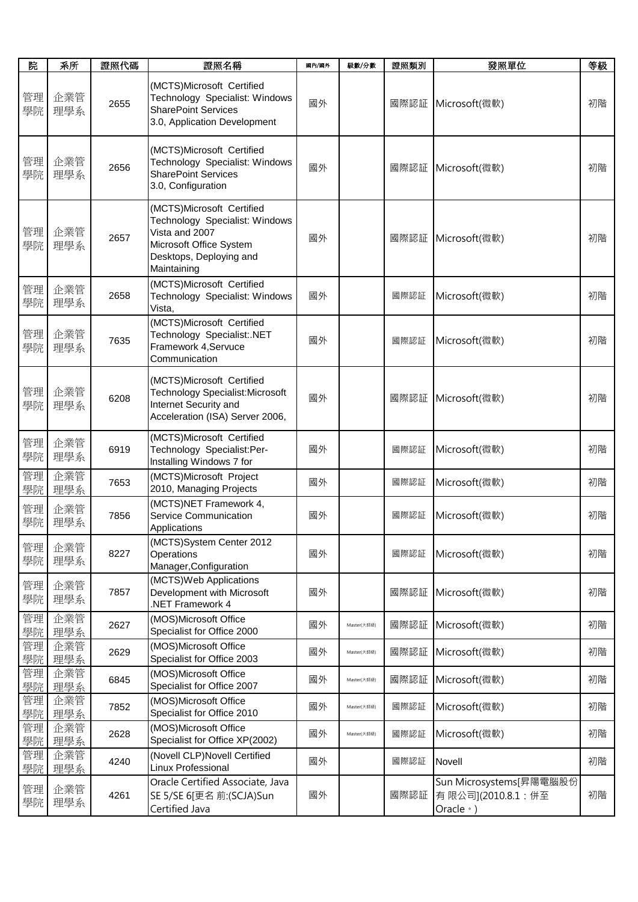| 院        | 系所         | 證照代碼 | 證照名稱                                                                                                                                               | 國內/國外 | 級數/分數       | 證照類別 | 發照單位                                                             | 等級 |
|----------|------------|------|----------------------------------------------------------------------------------------------------------------------------------------------------|-------|-------------|------|------------------------------------------------------------------|----|
| 管理<br>學院 | 企業管<br>理學系 | 2655 | (MCTS)Microsoft Certified<br>Technology Specialist: Windows<br><b>SharePoint Services</b><br>3.0, Application Development                          | 國外    |             | 國際認証 | Microsoft(微軟)                                                    | 初階 |
| 管理<br>學院 | 企業管<br>理學系 | 2656 | (MCTS)Microsoft Certified<br>Technology Specialist: Windows<br><b>SharePoint Services</b><br>3.0, Configuration                                    | 國外    |             | 國際認証 | Microsoft(微軟)                                                    | 初階 |
| 管理<br>學院 | 企業管<br>理學系 | 2657 | (MCTS)Microsoft Certified<br>Technology Specialist: Windows<br>Vista and 2007<br>Microsoft Office System<br>Desktops, Deploying and<br>Maintaining | 國外    |             |      | 國際認証   Microsoft(微軟)                                             | 初階 |
| 管理<br>學院 | 企業管<br>理學系 | 2658 | (MCTS)Microsoft Certified<br>Technology Specialist: Windows<br>Vista,                                                                              | 國外    |             | 國際認証 | Microsoft(微軟)                                                    | 初階 |
| 管理<br>學院 | 企業管<br>理學系 | 7635 | (MCTS)Microsoft Certified<br>Technology Specialist:.NET<br>Framework 4, Servuce<br>Communication                                                   | 國外    |             | 國際認証 | Microsoft(微軟)                                                    | 初階 |
| 管理<br>學院 | 企業管<br>理學系 | 6208 | (MCTS)Microsoft Certified<br><b>Technology Specialist:Microsoft</b><br>Internet Security and<br>Acceleration (ISA) Server 2006,                    | 國外    |             | 國際認証 | Microsoft(微軟)                                                    | 初階 |
| 管理<br>學院 | 企業管<br>理學系 | 6919 | (MCTS)Microsoft Certified<br>Technology Specialist:Per-<br>Installing Windows 7 for                                                                | 國外    |             | 國際認証 | Microsoft(微軟)                                                    | 初階 |
| 管理<br>學院 | 企業管<br>理學系 | 7653 | (MCTS)Microsoft Project<br>2010, Managing Projects                                                                                                 | 國外    |             | 國際認証 | Microsoft(微軟)                                                    | 初階 |
| 管理<br>學院 | 企業管<br>理學系 | 7856 | (MCTS)NET Framework 4,<br>Service Communication<br>Applications                                                                                    | 國外    |             | 國際認証 | Microsoft(微軟)                                                    | 初階 |
| 管理<br>學院 | 企業管<br>理學系 | 8227 | (MCTS)System Center 2012<br>Operations<br>Manager, Configuration                                                                                   | 國外    |             | 國際認証 | Microsoft(微軟)                                                    | 初階 |
| 管理<br>學院 | 企業管<br>理學系 | 7857 | (MCTS) Web Applications<br>Development with Microsoft<br>NET Framework 4                                                                           | 國外    |             | 國際認証 | Microsoft(微軟)                                                    | 初階 |
| 管理<br>學院 | 企業管<br>理學系 | 2627 | (MOS)Microsoft Office<br>Specialist for Office 2000                                                                                                | 國外    | Master(大師級) | 國際認証 | Microsoft(微軟)                                                    | 初階 |
| 管理<br>學院 | 企業管<br>理學系 | 2629 | (MOS)Microsoft Office<br>Specialist for Office 2003                                                                                                | 國外    | Master(大師級) | 國際認証 | Microsoft(微軟)                                                    | 初階 |
| 管理<br>學院 | 企業管<br>理學系 | 6845 | (MOS)Microsoft Office<br>Specialist for Office 2007                                                                                                | 國外    | Master(大師級) | 國際認証 | Microsoft(微軟)                                                    | 初階 |
| 管理<br>學院 | 企業管<br>理學系 | 7852 | (MOS)Microsoft Office<br>Specialist for Office 2010                                                                                                | 國外    | Master(大師級) | 國際認証 | Microsoft(微軟)                                                    | 初階 |
| 管理<br>學院 | 企業管<br>理學系 | 2628 | (MOS)Microsoft Office<br>Specialist for Office XP(2002)                                                                                            | 國外    | Master(大師級) | 國際認証 | Microsoft(微軟)                                                    | 初階 |
| 管理<br>學院 | 企業管<br>理學系 | 4240 | (Novell CLP) Novell Certified<br>Linux Professional                                                                                                | 國外    |             | 國際認証 | Novell                                                           | 初階 |
| 管理<br>學院 | 企業管<br>理學系 | 4261 | Oracle Certified Associate, Java<br>SE 5/SE 6[更名 前:(SCJA)Sun<br>Certified Java                                                                     | 國外    |             | 國際認証 | Sun Microsystems[昇陽電腦股份<br>有限公司](2010.8.1:併至<br>Oracle $\cdot$ ) | 初階 |